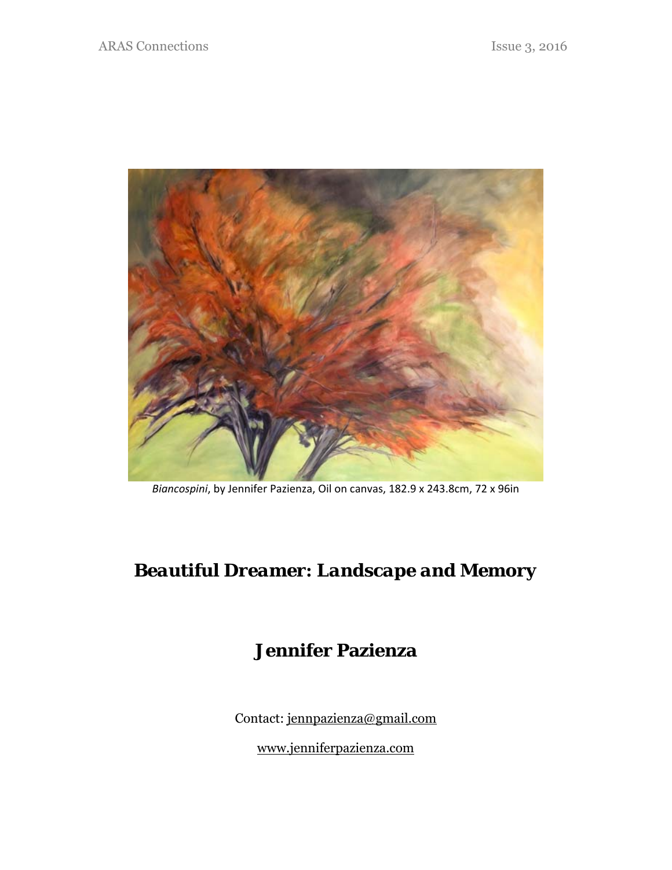

*Biancospini*, by Jennifer Pazienza, Oil on canvas, 182.9 x 243.8cm, 72 x 96in

# *Beautiful Dreamer: Landscape and Memory*

# **Jennifer Pazienza**

Contact: jennpazienza@gmail.com

www.jenniferpazienza.com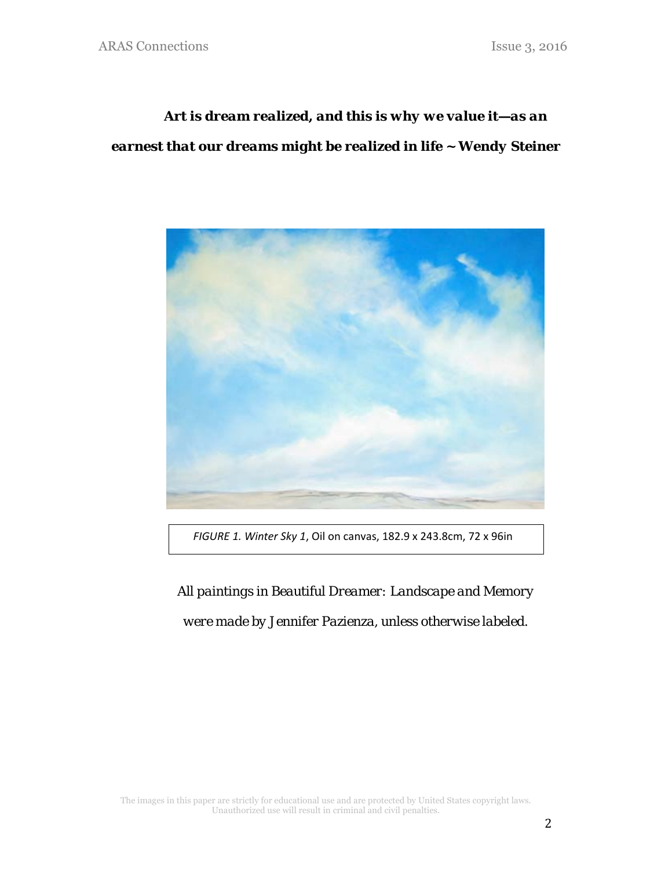# *Art is dream realized, and this is why we value it—as an earnest that our dreams might be realized in life ~ Wendy Steiner*



 *FIGURE 1. Winter Sky 1*, Oil on canvas, 182.9 x 243.8cm, 72 x 96in

*All paintings in Beautiful Dreamer: Landscape and Memory were made by Jennifer Pazienza, unless otherwise labeled.*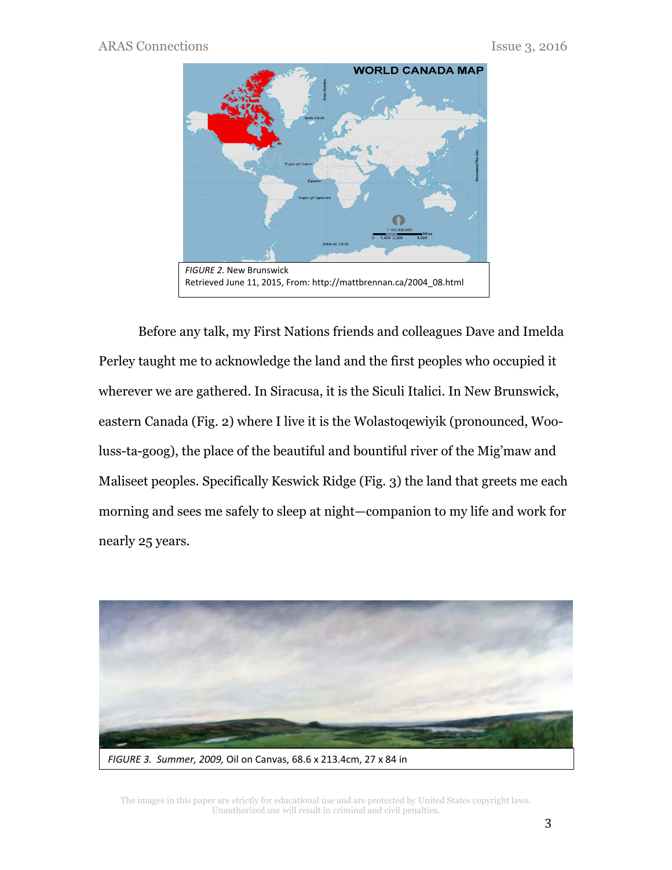

Before any talk, my First Nations friends and colleagues Dave and Imelda Perley taught me to acknowledge the land and the first peoples who occupied it wherever we are gathered. In Siracusa, it is the Siculi Italici. In New Brunswick, eastern Canada (Fig. 2) where I live it is the Wolastoqewiyik (pronounced, Wooluss-ta-goog), the place of the beautiful and bountiful river of the Mig'maw and Maliseet peoples. Specifically Keswick Ridge (Fig. 3) the land that greets me each morning and sees me safely to sleep at night—companion to my life and work for nearly 25 years.

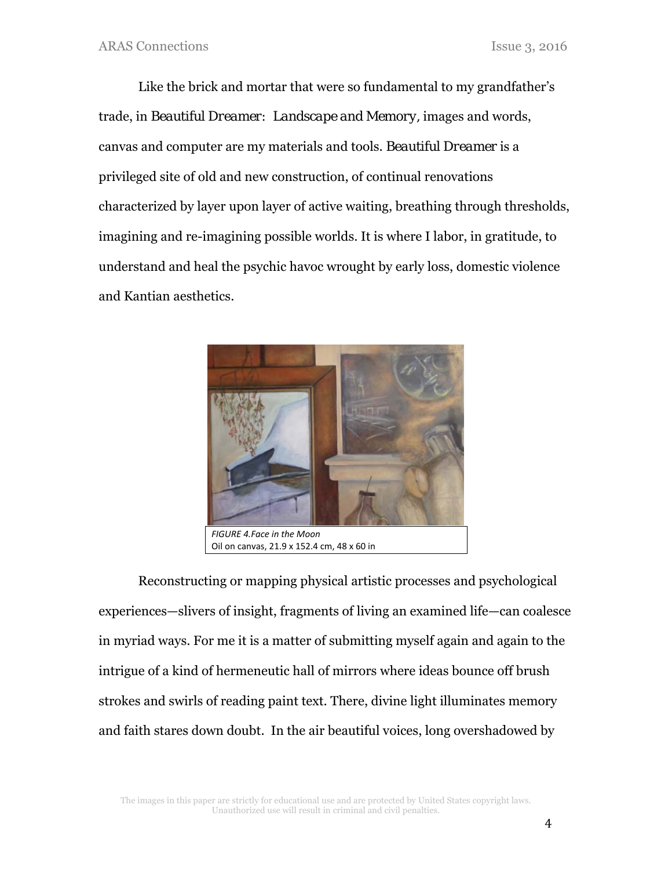Like the brick and mortar that were so fundamental to my grandfather's trade, in *Beautiful Dreamer: Landscape and Memory,* images and words, canvas and computer are my materials and tools. *Beautiful Dreamer* is a privileged site of old and new construction, of continual renovations characterized by layer upon layer of active waiting, breathing through thresholds, imagining and re-imagining possible worlds. It is where I labor, in gratitude, to understand and heal the psychic havoc wrought by early loss, domestic violence and Kantian aesthetics.



Oil on canvas, 21.9 x 152.4 cm, 48 x 60 in

Reconstructing or mapping physical artistic processes and psychological experiences—slivers of insight, fragments of living an examined life—can coalesce in myriad ways. For me it is a matter of submitting myself again and again to the intrigue of a kind of hermeneutic hall of mirrors where ideas bounce off brush strokes and swirls of reading paint text. There, divine light illuminates memory and faith stares down doubt. In the air beautiful voices, long overshadowed by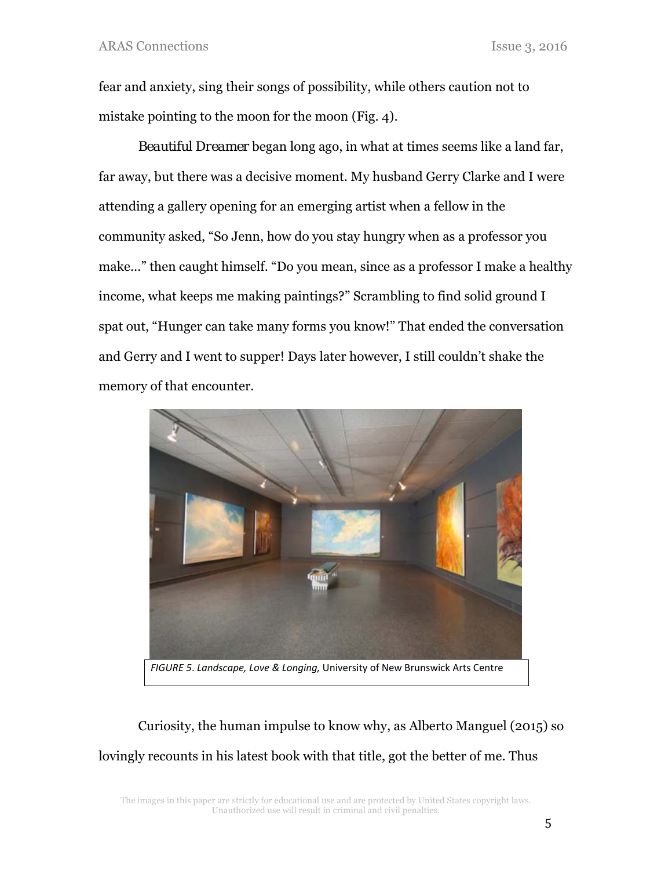fear and anxiety, sing their songs of possibility, while others caution not to mistake pointing to the moon for the moon (Fig. 4).

*Beautiful Dreamer* began long ago, in what at times seems like a land far, far away, but there was a decisive moment. My husband Gerry Clarke and I were attending a gallery opening for an emerging artist when a fellow in the community asked, "So Jenn, how do you stay hungry when as a professor you make..." then caught himself. "Do you mean, since as a professor I make a healthy income, what keeps me making paintings?" Scrambling to find solid ground I spat out, "Hunger can take many forms you know!" That ended the conversation and Gerry and I went to supper! Days later however, I still couldn't shake the memory of that encounter.



Curiosity, the human impulse to know why, as Alberto Manguel (2015) so lovingly recounts in his latest book with that title, got the better of me. Thus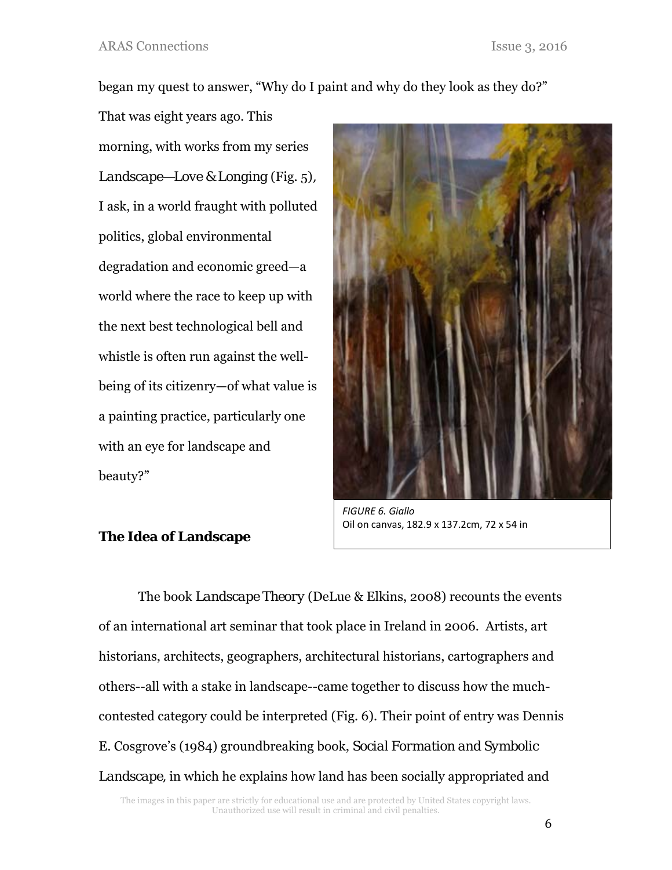began my quest to answer, "Why do I paint and why do they look as they do?"

That was eight years ago. This morning, with works from my series *Landscape—Love & Longing* (Fig. 5)*,*  I ask, in a world fraught with polluted politics, global environmental degradation and economic greed—a world where the race to keep up with the next best technological bell and whistle is often run against the wellbeing of its citizenry—of what value is a painting practice, particularly one with an eye for landscape and beauty?"



*FIGURE 6. Giallo*  Oil on canvas, 182.9 x 137.2cm, 72 x 54 in

## **The Idea of Landscape**

The book *Landscape Theory* (DeLue & Elkins, 2008) recounts the events of an international art seminar that took place in Ireland in 2006. Artists, art historians, architects, geographers, architectural historians, cartographers and others--all with a stake in landscape--came together to discuss how the muchcontested category could be interpreted (Fig. 6). Their point of entry was Dennis E. Cosgrove's (1984) groundbreaking book, *Social Formation and Symbolic Landscape,* in which he explains how land has been socially appropriated and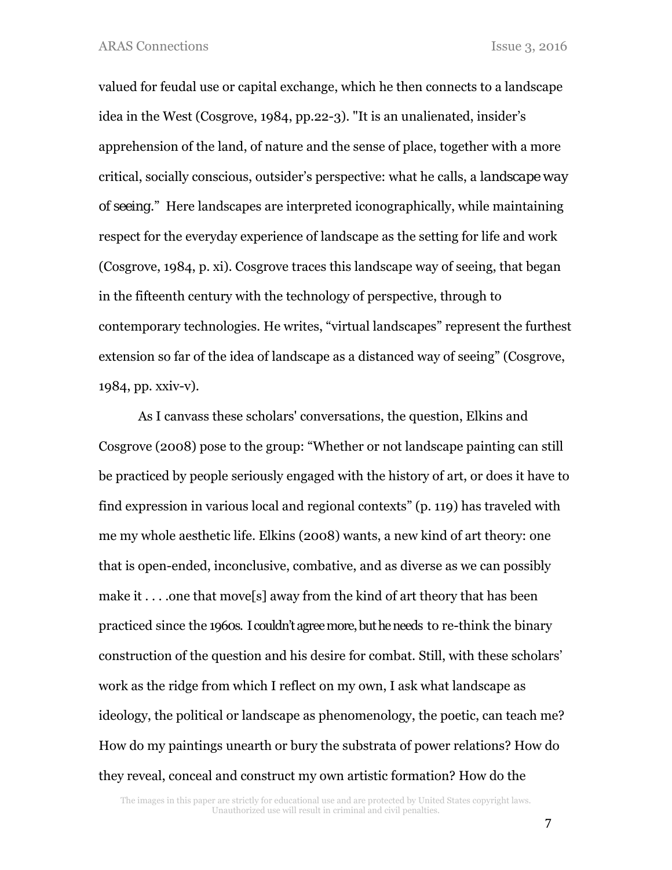valued for feudal use or capital exchange, which he then connects to a landscape idea in the West (Cosgrove, 1984, pp.22-3). "It is an unalienated, insider's apprehension of the land, of nature and the sense of place, together with a more critical, socially conscious, outsider's perspective: what he calls, a *landscape way of seeing*." Here landscapes are interpreted iconographically, while maintaining respect for the everyday experience of landscape as the setting for life and work (Cosgrove, 1984, p. xi). Cosgrove traces this landscape way of seeing, that began in the fifteenth century with the technology of perspective, through to contemporary technologies. He writes, "virtual landscapes" represent the furthest extension so far of the idea of landscape as a distanced way of seeing" (Cosgrove, 1984, pp. xxiv-v).

As I canvass these scholars' conversations, the question, Elkins and Cosgrove (2008) pose to the group: "Whether or not landscape painting can still be practiced by people seriously engaged with the history of art, or does it have to find expression in various local and regional contexts" (p. 119) has traveled with me my whole aesthetic life. Elkins (2008) wants, a new kind of art theory: one that is open-ended, inconclusive, combative, and as diverse as we can possibly make it . . . .one that move<sup>[5]</sup> away from the kind of art theory that has been practiced since the 1960s. I couldn't agree more, but he needs to re-think the binary construction of the question and his desire for combat. Still, with these scholars' work as the ridge from which I reflect on my own, I ask what landscape as ideology, the political or landscape as phenomenology, the poetic, can teach me? How do my paintings unearth or bury the substrata of power relations? How do they reveal, conceal and construct my own artistic formation? How do the

The images in this paper are strictly for educational use and are protected by United States copyright laws. Unauthorized use will result in criminal and civil penalties.

7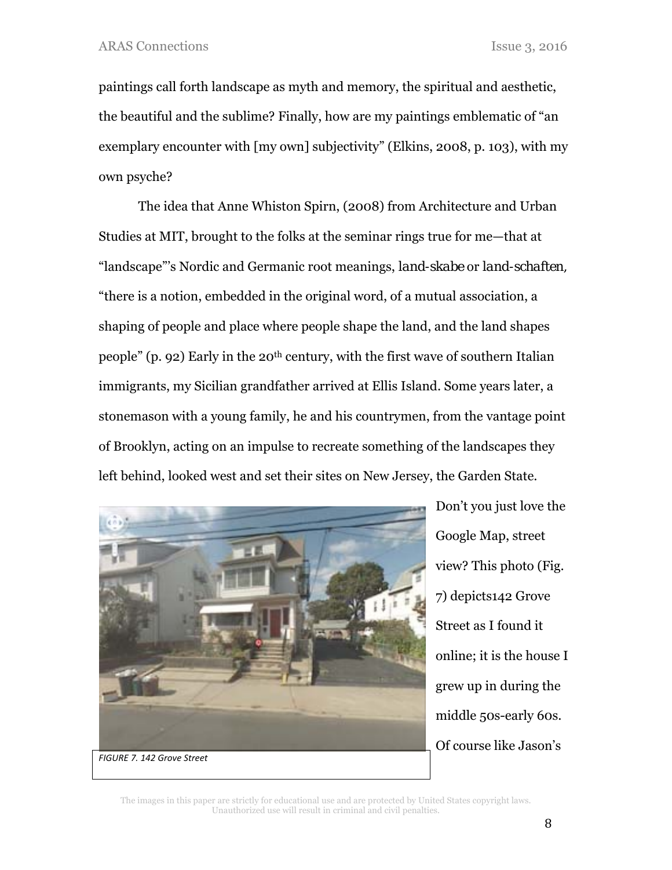paintings call forth landscape as myth and memory, the spiritual and aesthetic, the beautiful and the sublime? Finally, how are my paintings emblematic of "an exemplary encounter with [my own] subjectivity" (Elkins, 2008, p. 103), with my own psyche?

The idea that Anne Whiston Spirn, (2008) from Architecture and Urban Studies at MIT, brought to the folks at the seminar rings true for me—that at "landscape"'s Nordic and Germanic root meanings, *land-skabe* or *land-schaften,* "there is a notion, embedded in the original word, of a mutual association, a shaping of people and place where people shape the land, and the land shapes people" (p. 92) Early in the 20<sup>th</sup> century, with the first wave of southern Italian immigrants, my Sicilian grandfather arrived at Ellis Island. Some years later, a stonemason with a young family, he and his countrymen, from the vantage point of Brooklyn, acting on an impulse to recreate something of the landscapes they left behind, looked west and set their sites on New Jersey, the Garden State.



Don't you just love the Google Map, street view? This photo (Fig. 7) depicts142 Grove Street as I found it online; it is the house I grew up in during the middle 50s-early 60s. Of course like Jason's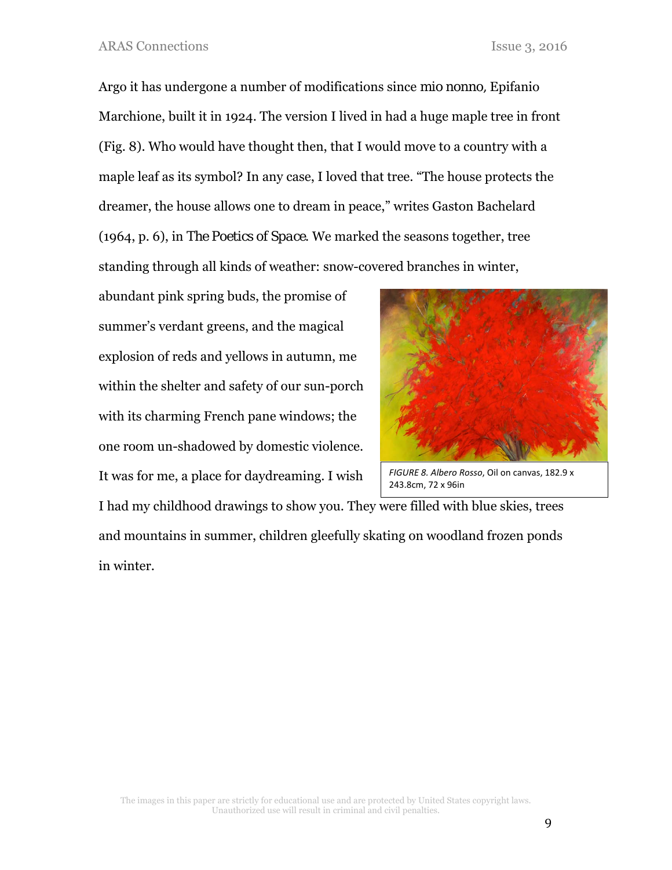Argo it has undergone a number of modifications since *mio nonno,* Epifanio Marchione, built it in 1924. The version I lived in had a huge maple tree in front (Fig. 8). Who would have thought then, that I would move to a country with a maple leaf as its symbol? In any case, I loved that tree. "The house protects the dreamer, the house allows one to dream in peace," writes Gaston Bachelard (1964, p. 6), in *The Poetics of Space*. We marked the seasons together, tree standing through all kinds of weather: snow-covered branches in winter,

abundant pink spring buds, the promise of summer's verdant greens, and the magical explosion of reds and yellows in autumn, me within the shelter and safety of our sun-porch with its charming French pane windows; the one room un-shadowed by domestic violence. It was for me, a place for daydreaming. I wish



*FIGURE 8. Albero Rosso*, Oil on canvas, 182.9 x 243.8cm, 72 x 96in

I had my childhood drawings to show you. They were filled with blue skies, trees and mountains in summer, children gleefully skating on woodland frozen ponds in winter.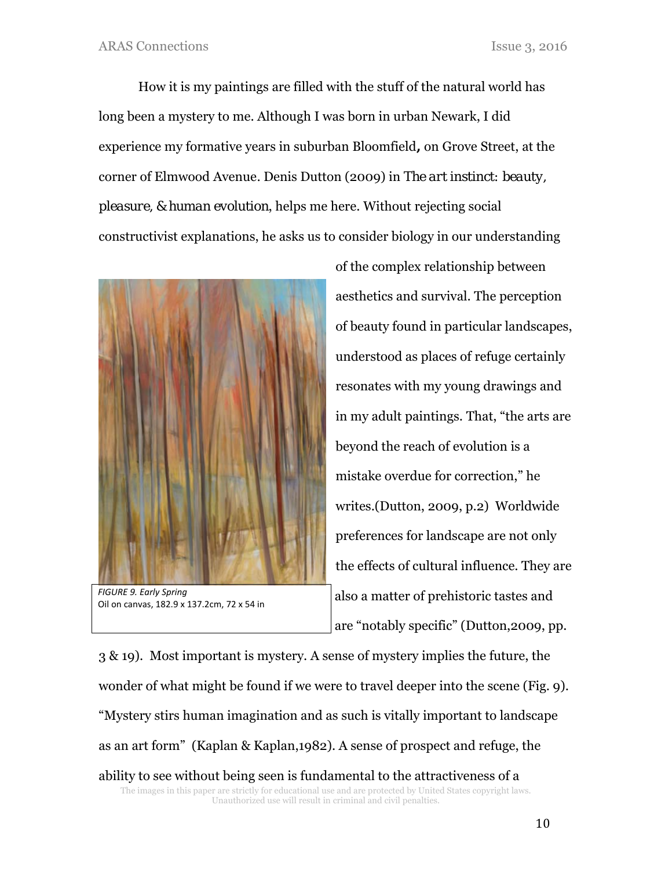How it is my paintings are filled with the stuff of the natural world has long been a mystery to me. Although I was born in urban Newark, I did experience my formative years in suburban Bloomfield**,** on Grove Street, at the corner of Elmwood Avenue*.* Denis Dutton (2009) in *The art instinct: beauty, pleasure, & human evolution*, helps me here. Without rejecting social constructivist explanations, he asks us to consider biology in our understanding



*FIGURE 9. Early Spring* Oil on canvas, 182.9 x 137.2cm, 72 x 54 in

of the complex relationship between aesthetics and survival. The perception of beauty found in particular landscapes, understood as places of refuge certainly resonates with my young drawings and in my adult paintings. That, "the arts are beyond the reach of evolution is a mistake overdue for correction," he writes.(Dutton, 2009, p.2) Worldwide preferences for landscape are not only the effects of cultural influence. They are also a matter of prehistoric tastes and are "notably specific" (Dutton,2009, pp.

The images in this paper are strictly for educational use and are protected by United States copyright laws. Unauthorized use will result in criminal and civil penalties. 3 & 19). Most important is mystery. A sense of mystery implies the future, the wonder of what might be found if we were to travel deeper into the scene (Fig. 9). "Mystery stirs human imagination and as such is vitally important to landscape as an art form" (Kaplan & Kaplan,1982). A sense of prospect and refuge, the ability to see without being seen is fundamental to the attractiveness of a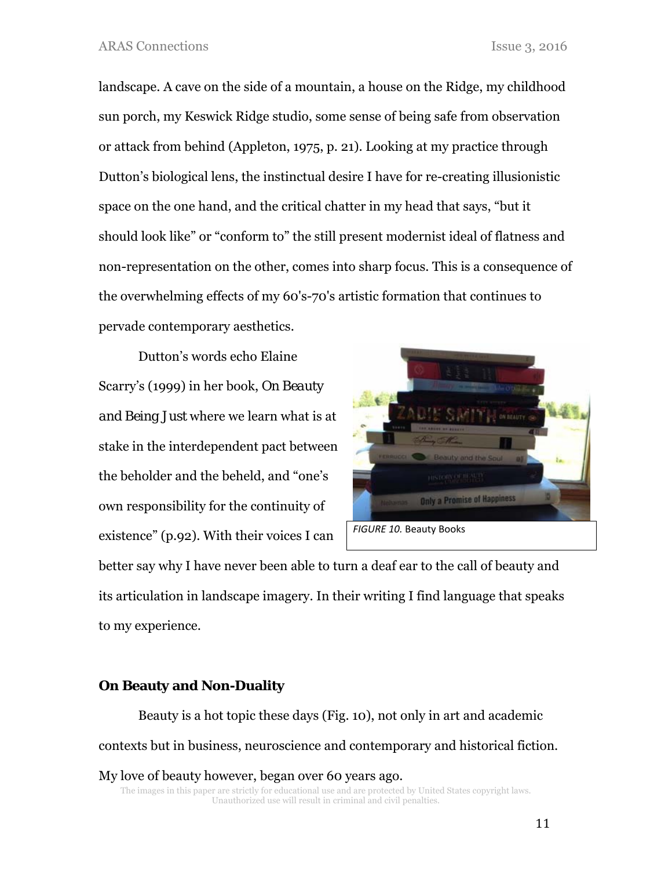landscape. A cave on the side of a mountain, a house on the Ridge, my childhood sun porch, my Keswick Ridge studio, some sense of being safe from observation or attack from behind (Appleton, 1975, p. 21). Looking at my practice through Dutton's biological lens, the instinctual desire I have for re-creating illusionistic space on the one hand, and the critical chatter in my head that says, "but it should look like" or "conform to" the still present modernist ideal of flatness and non-representation on the other, comes into sharp focus. This is a consequence of the overwhelming effects of my 60's-70's artistic formation that continues to pervade contemporary aesthetics.

Dutton's words echo Elaine Scarry's (1999) in her book, *On Beauty and Being Just* where we learn what is at stake in the interdependent pact between the beholder and the beheld, and "one's own responsibility for the continuity of existence" (p.92). With their voices I can



better say why I have never been able to turn a deaf ear to the call of beauty and its articulation in landscape imagery. In their writing I find language that speaks to my experience.

## **On Beauty and Non-Duality**

Beauty is a hot topic these days (Fig. 10), not only in art and academic contexts but in business, neuroscience and contemporary and historical fiction. My love of beauty however, began over 60 years ago.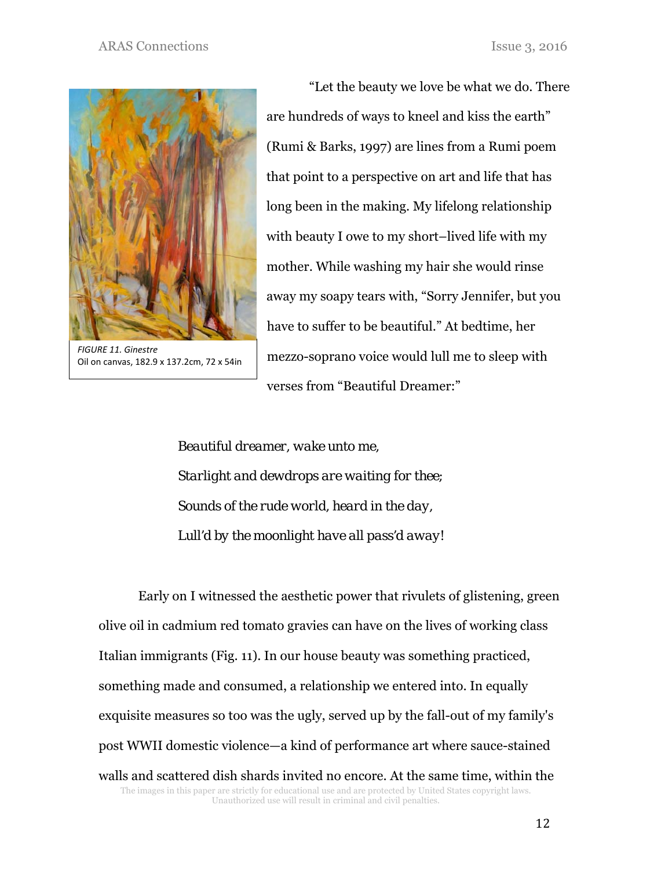

*FIGURE 11. Ginestre* Oil on canvas, 182.9 x 137.2cm, 72 x 54in

 "Let the beauty we love be what we do. There are hundreds of ways to kneel and kiss the earth" (Rumi & Barks, 1997) are lines from a Rumi poem that point to a perspective on art and life that has long been in the making. My lifelong relationship with beauty I owe to my short–lived life with my mother. While washing my hair she would rinse away my soapy tears with, "Sorry Jennifer, but you have to suffer to be beautiful." At bedtime, her mezzo-soprano voice would lull me to sleep with verses from "Beautiful Dreamer:"

 *Beautiful dreamer, wake unto me, Starlight and dewdrops are waiting for thee; Sounds of the rude world, heard in the day, Lull'd by the moonlight have all pass'd away!* 

The images in this paper are strictly for educational use and are protected by United States copyright laws. Unauthorized use will result in criminal and civil penalties. Early on I witnessed the aesthetic power that rivulets of glistening, green olive oil in cadmium red tomato gravies can have on the lives of working class Italian immigrants (Fig. 11). In our house beauty was something practiced, something made and consumed, a relationship we entered into. In equally exquisite measures so too was the ugly, served up by the fall-out of my family's post WWII domestic violence—a kind of performance art where sauce-stained walls and scattered dish shards invited no encore. At the same time, within the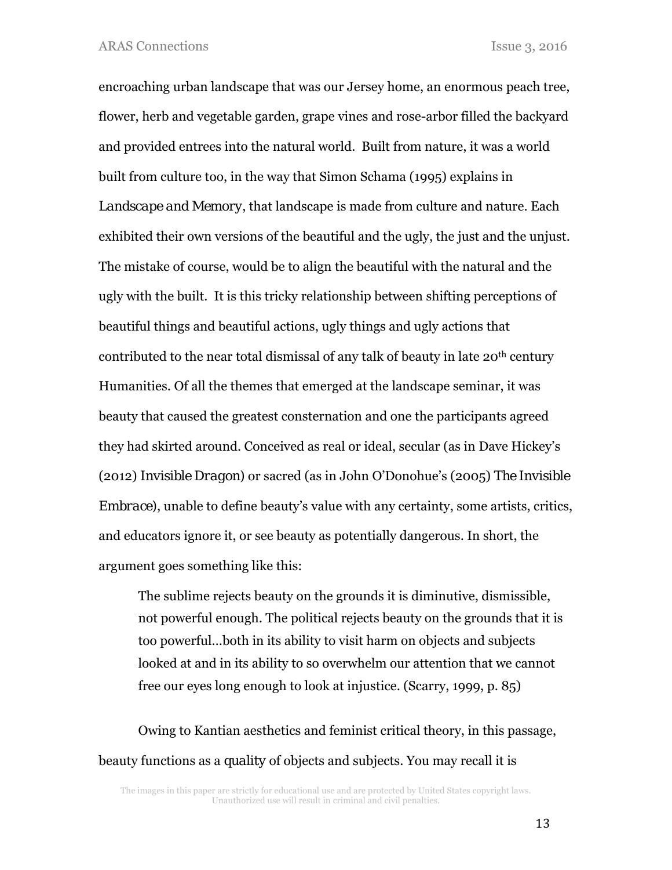encroaching urban landscape that was our Jersey home, an enormous peach tree, flower, herb and vegetable garden, grape vines and rose-arbor filled the backyard and provided entrees into the natural world. Built from nature, it was a world built from culture too, in the way that Simon Schama (1995) explains in *Landscape and Memory*, that landscape is made from culture and nature. Each exhibited their own versions of the beautiful and the ugly, the just and the unjust. The mistake of course, would be to align the beautiful with the natural and the ugly with the built. It is this tricky relationship between shifting perceptions of beautiful things and beautiful actions, ugly things and ugly actions that contributed to the near total dismissal of any talk of beauty in late 20th century Humanities. Of all the themes that emerged at the landscape seminar, it was beauty that caused the greatest consternation and one the participants agreed they had skirted around. Conceived as real or ideal, secular (as in Dave Hickey's (2012) *Invisible Dragon)* or sacred (as in John O'Donohue's (2005) *The Invisible Embrace)*, unable to define beauty's value with any certainty, some artists, critics, and educators ignore it, or see beauty as potentially dangerous. In short, the argument goes something like this:

The sublime rejects beauty on the grounds it is diminutive, dismissible, not powerful enough. The political rejects beauty on the grounds that it is too powerful…both in its ability to visit harm on objects and subjects looked at and in its ability to so overwhelm our attention that we cannot free our eyes long enough to look at injustice. (Scarry, 1999, p. 85)

Owing to Kantian aesthetics and feminist critical theory, in this passage, beauty functions as a *quality* of objects and subjects. You may recall it is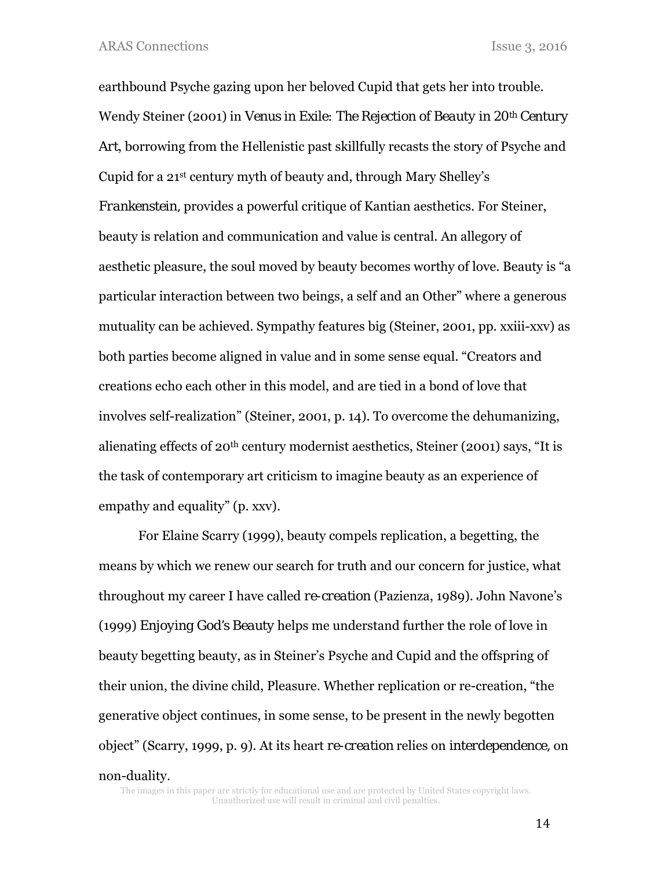earthbound Psyche gazing upon her beloved Cupid that gets her into trouble. Wendy Steiner (2001) in *Venus in Exile: The Rejection of Beauty in 20th Century Art*, borrowing from the Hellenistic past skillfully recasts the story of Psyche and Cupid for a 21st century myth of beauty and, through Mary Shelley's *Frankenstein,* provides a powerful critique of Kantian aesthetics. For Steiner, beauty is relation and communication and value is central. An allegory of aesthetic pleasure, the soul moved by beauty becomes worthy of love. Beauty is "a particular interaction between two beings, a self and an Other" where a generous mutuality can be achieved. Sympathy features big (Steiner, 2001, pp. xxiii-xxv) as both parties become aligned in value and in some sense equal. "Creators and creations echo each other in this model, and are tied in a bond of love that involves self-realization" (Steiner, 2001, p. 14). To overcome the dehumanizing, alienating effects of 20th century modernist aesthetics, Steiner (2001) says, "It is the task of contemporary art criticism to imagine beauty as an experience of empathy and equality" (p. xxv).

For Elaine Scarry (1999), beauty compels replication, a begetting, the means by which we renew our search for truth and our concern for justice, what throughout my career I have called *re-creation* (Pazienza, 1989). John Navone's (1999) *Enjoying God's Beauty* helps me understand further the role of love in beauty begetting beauty, as in Steiner's Psyche and Cupid and the offspring of their union, the divine child, Pleasure. Whether replication or re-creation, "the generative object continues, in some sense, to be present in the newly begotten object" (Scarry, 1999, p. 9). At its heart *re-creation* relies on *interdependence,* on non-duality*.*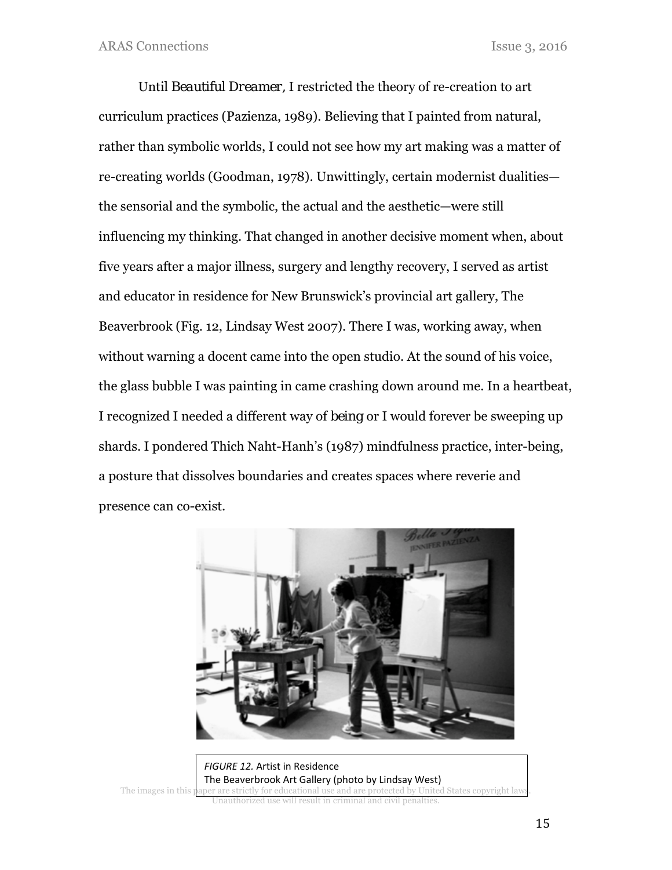Until *Beautiful Dreamer,* I restricted the theory of re-creation to art curriculum practices (Pazienza, 1989). Believing that I painted from natural, rather than symbolic worlds, I could not see how my art making was a matter of re-creating worlds (Goodman, 1978). Unwittingly, certain modernist dualities the sensorial and the symbolic, the actual and the aesthetic—were still influencing my thinking. That changed in another decisive moment when, about five years after a major illness, surgery and lengthy recovery, I served as artist and educator in residence for New Brunswick's provincial art gallery, The Beaverbrook (Fig. 12, Lindsay West 2007). There I was, working away, when without warning a docent came into the open studio. At the sound of his voice, the glass bubble I was painting in came crashing down around me. In a heartbeat, I recognized I needed a different way of *being* or I would forever be sweeping up shards. I pondered Thich Naht-Hanh's (1987) mindfulness practice, inter-being, a posture that dissolves boundaries and creates spaces where reverie and presence can co-exist.



The images in this paper are strictly for educational use and are protected by United States copyright law Unauthorized use will result in criminal and civil penalties. *FIGURE 12.* Artist in Residence The Beaverbrook Art Gallery (photo by Lindsay West)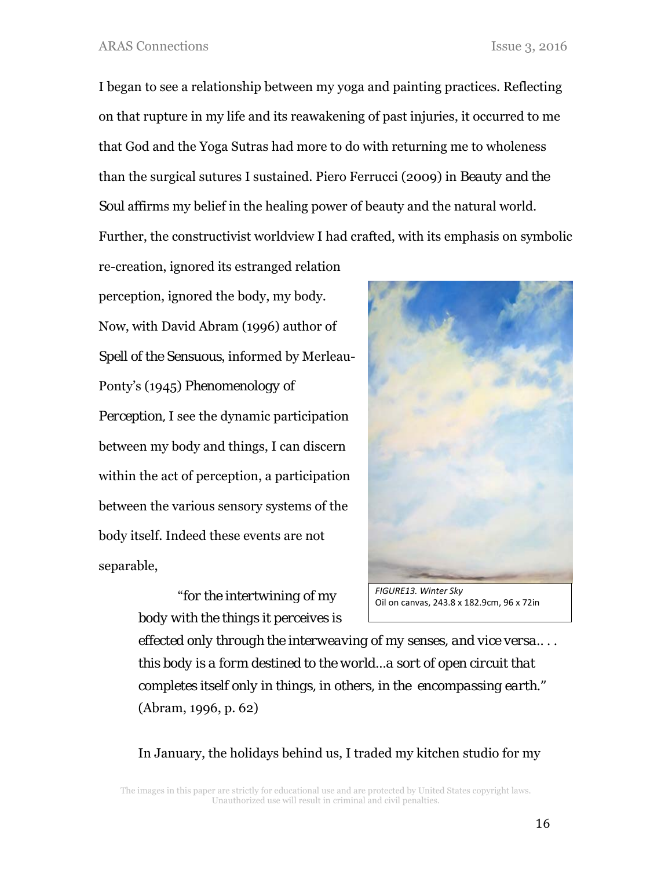I began to see a relationship between my yoga and painting practices. Reflecting on that rupture in my life and its reawakening of past injuries, it occurred to me that God and the Yoga Sutras had more to do with returning me to wholeness than the surgical sutures I sustained. Piero Ferrucci (2009) in *Beauty and the Soul* affirms my belief in the healing power of beauty and the natural world. Further, the constructivist worldview I had crafted, with its emphasis on symbolic

re-creation, ignored its estranged relation perception, ignored the body, my body. Now, with David Abram (1996) author of *Spell of the Sensuous*, informed by Merleau-Ponty's (1945) *Phenomenology of Perception,* I see the dynamic participation between my body and things, I can discern within the act of perception, a participation between the various sensory systems of the body itself. Indeed these events are not separable,

> "*for the intertwining of my body with the things it perceives is*



Oil on canvas, 243.8 x 182.9cm, 96 x 72in

*effected only through the interweaving of my senses, and vice versa.. . . this body is a form destined to the world...a sort of open circuit that completes itself only in things, in others, in the encompassing earth."* (Abram, 1996, p. 62)

In January, the holidays behind us, I traded my kitchen studio for my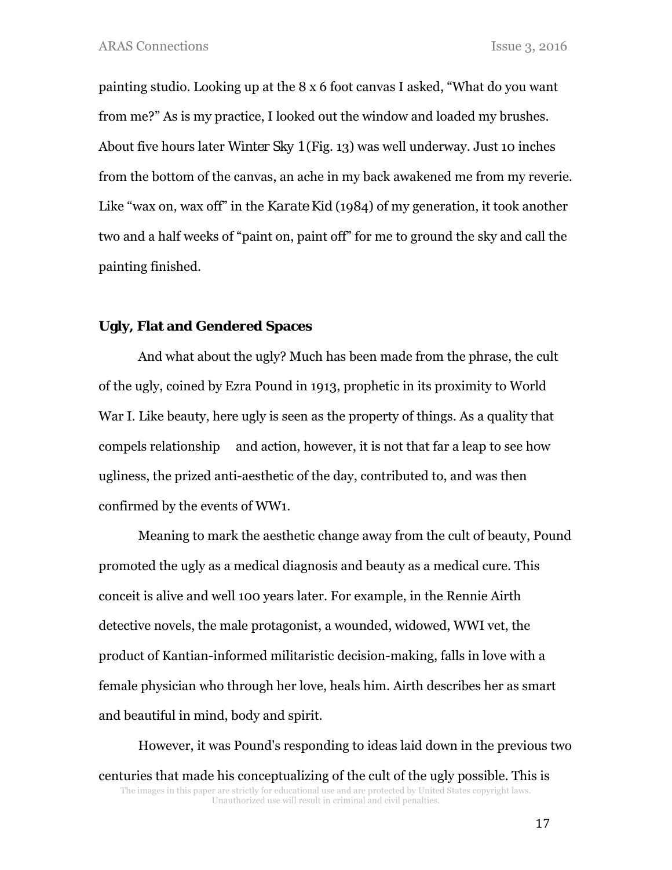painting studio. Looking up at the 8 x 6 foot canvas I asked, "What do you want from me?" As is my practice, I looked out the window and loaded my brushes. About five hours later *Winter Sky 1* (Fig. 13) was well underway. Just 10 inches from the bottom of the canvas, an ache in my back awakened me from my reverie. Like "wax on, wax off" in the *Karate Kid* (1984) of my generation, it took another two and a half weeks of "paint on, paint off" for me to ground the sky and call the painting finished.

### **Ugly, Flat and Gendered Spaces**

And what about the ugly? Much has been made from the phrase, the cult of the ugly, coined by Ezra Pound in 1913, prophetic in its proximity to World War I. Like beauty, here ugly is seen as the property of things. As a quality that compels relationship and action, however, it is not that far a leap to see how ugliness, the prized anti-aesthetic of the day, contributed to, and was then confirmed by the events of WW1.

Meaning to mark the aesthetic change away from the cult of beauty, Pound promoted the ugly as a medical diagnosis and beauty as a medical cure. This conceit is alive and well 100 years later. For example, in the Rennie Airth detective novels, the male protagonist, a wounded, widowed, WWI vet, the product of Kantian-informed militaristic decision-making, falls in love with a female physician who through her love, heals him. Airth describes her as smart and beautiful in mind, body and spirit.

The images in this paper are strictly for educational use and are protected by United States copyright laws. Unauthorized use will result in criminal and civil penalties. However, it was Pound's responding to ideas laid down in the previous two centuries that made his conceptualizing of the cult of the ugly possible. This is

17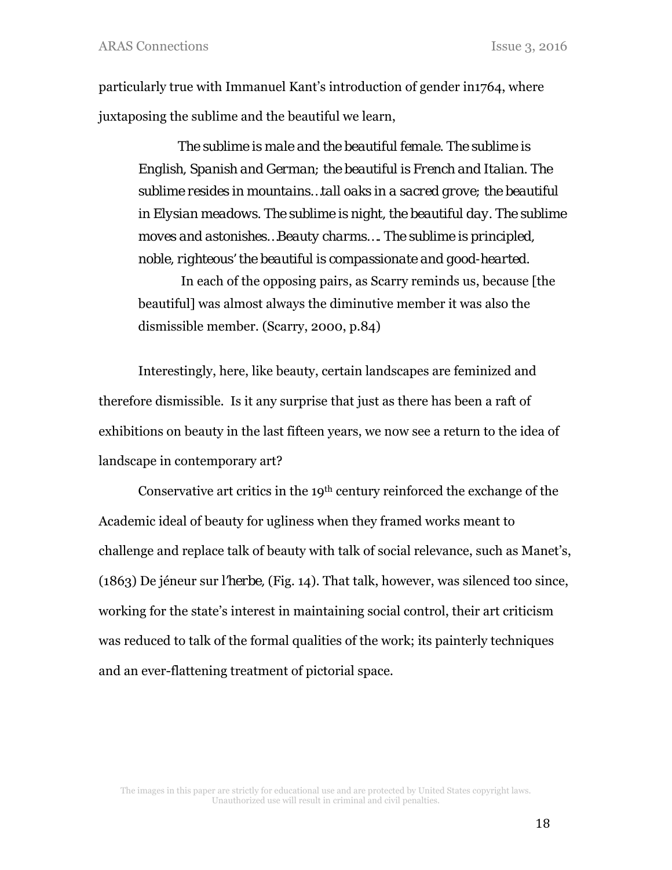particularly true with Immanuel Kant's introduction of gender in1764, where juxtaposing the sublime and the beautiful we learn,

*The sublime is male and the beautiful female. The sublime is English, Spanish and German; the beautiful is French and Italian. The sublime resides in mountains…tall oaks in a sacred grove; the beautiful in Elysian meadows. The sublime is night, the beautiful day. The sublime moves and astonishes…Beauty charms…. The sublime is principled, noble, righteous' the beautiful is compassionate and good-hearted.*

 In each of the opposing pairs, as Scarry reminds us, because [the beautiful] was almost always the diminutive member it was also the dismissible member. (Scarry, 2000, p.84)

Interestingly, here, like beauty, certain landscapes are feminized and therefore dismissible. Is it any surprise that just as there has been a raft of exhibitions on beauty in the last fifteen years, we now see a return to the idea of landscape in contemporary art?

Conservative art critics in the 19th century reinforced the exchange of the Academic ideal of beauty for ugliness when they framed works meant to challenge and replace talk of beauty with talk of social relevance, such as Manet's, (1863) De jéneur sur *l'herbe,* (Fig. 14). That talk, however, was silenced too since, working for the state's interest in maintaining social control, their art criticism was reduced to talk of the formal qualities of the work; its painterly techniques and an ever-flattening treatment of pictorial space.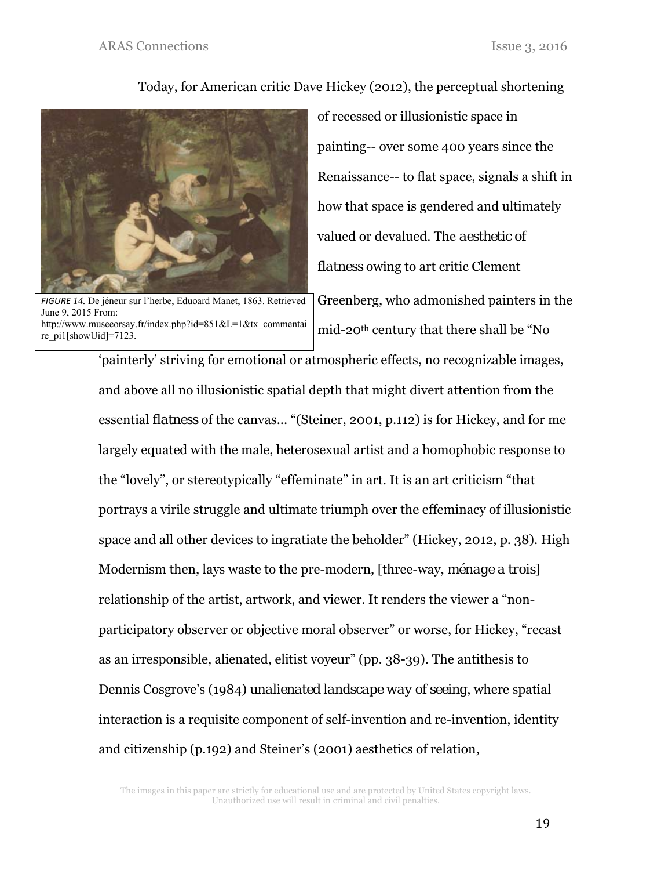## Today, for American critic Dave Hickey (2012), the perceptual shortening



*FIGURE 14.* De jéneur sur l'herbe, Eduoard Manet, 1863. Retrieved June 9, 2015 From: http://www.museeorsay.fr/index.php?id=851&L=1&tx\_commentai re\_pi1[showUid]=7123.

of recessed or illusionistic space in painting-- over some 400 years since the Renaissance-- to flat space, signals a shift in how that space is gendered and ultimately valued or devalued. The *aesthetic of flatness* owing to art critic Clement

Greenberg, who admonished painters in the mid-20th century that there shall be "No

'painterly' striving for emotional or atmospheric effects, no recognizable images, and above all no illusionistic spatial depth that might divert attention from the essential *flatness* of the canvas... "(Steiner, 2001, p.112) is for Hickey, and for me largely equated with the male, heterosexual artist and a homophobic response to the "lovely", or stereotypically "effeminate" in art. It is an art criticism "that portrays a virile struggle and ultimate triumph over the effeminacy of illusionistic space and all other devices to ingratiate the beholder" (Hickey, 2012, p. 38). High Modernism then, lays waste to the pre-modern, [three-way, *ménage a trois*] relationship of the artist, artwork, and viewer. It renders the viewer a "nonparticipatory observer or objective moral observer" or worse, for Hickey, "recast as an irresponsible, alienated, elitist voyeur" (pp. 38-39). The antithesis to Dennis Cosgrove's (1984) *unalienated landscape way of seeing*, where spatial interaction is a requisite component of self-invention and re-invention, identity and citizenship (p.192) and Steiner's (2001) aesthetics of relation,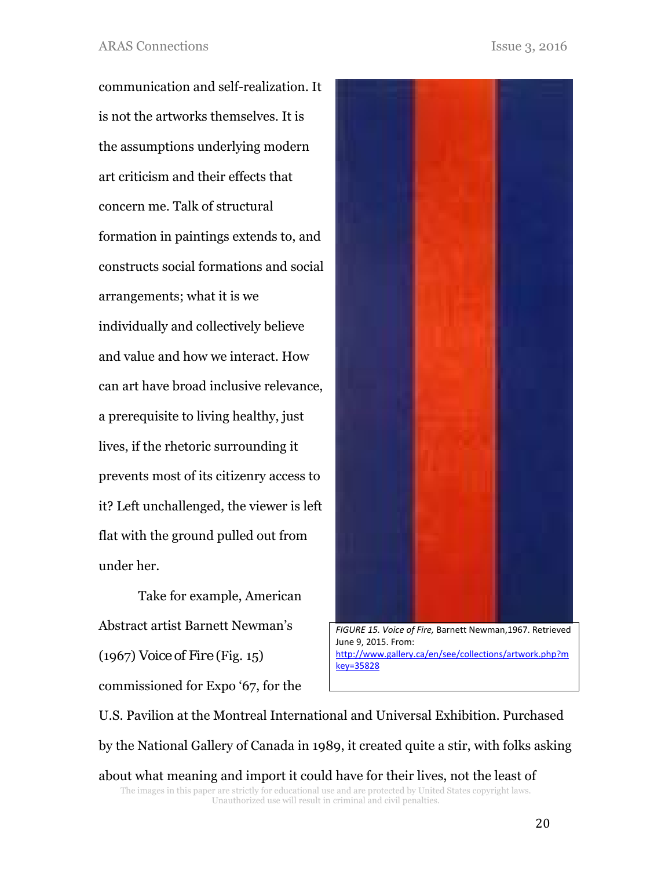communication and self-realization. It is not the artworks themselves. It is the assumptions underlying modern art criticism and their effects that concern me. Talk of structural formation in paintings extends to, and constructs social formations and social arrangements; what it is we individually and collectively believe and value and how we interact. How can art have broad inclusive relevance, a prerequisite to living healthy, just lives, if the rhetoric surrounding it prevents most of its citizenry access to it? Left unchallenged, the viewer is left flat with the ground pulled out from under her.

Take for example, American Abstract artist Barnett Newman's (1967) *Voice of Fire* (Fig. 15) commissioned for Expo '67, for the



The images in this paper are strictly for educational use and are protected by United States copyright laws. Unauthorized use will result in criminal and civil penalties. U.S. Pavilion at the Montreal International and Universal Exhibition. Purchased by the National Gallery of Canada in 1989, it created quite a stir, with folks asking about what meaning and import it could have for their lives, not the least of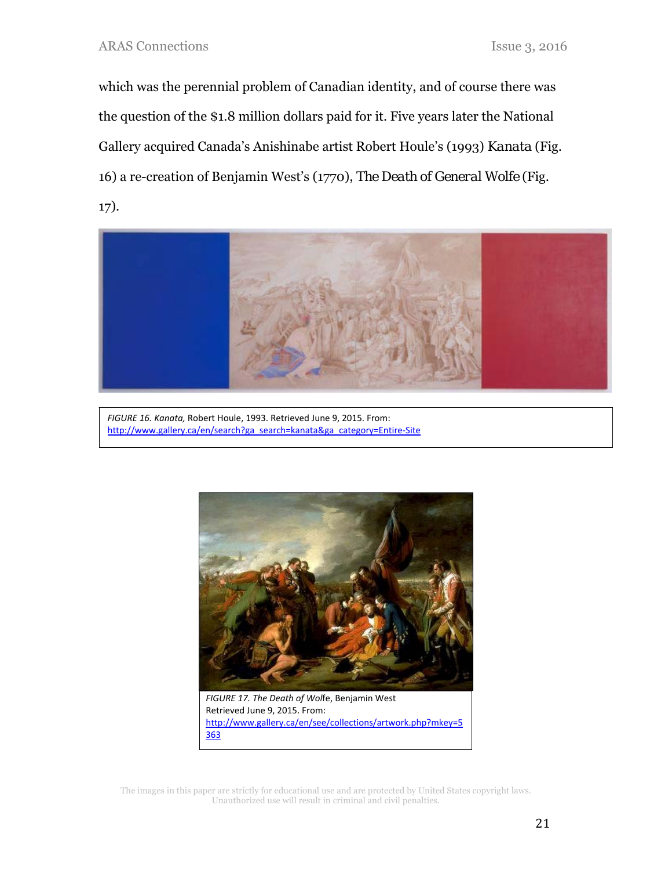which was the perennial problem of Canadian identity, and of course there was the question of the \$1.8 million dollars paid for it. Five years later the National Gallery acquired Canada's Anishinabe artist Robert Houle's (1993) *Kanata* (Fig. 16) a re-creation of Benjamin West's (1770), *The Death of General Wolfe* (Fig. 17).



*FIGURE 16. Kanata,* Robert Houle, 1993. Retrieved June 9, 2015. From: http://www.gallery.ca/en/search?ga\_search=kanata&ga\_category=Entire-Site



*FIGURE 17. The Death of Wol*fe, Benjamin West Retrieved June 9, 2015. From: http://www.gallery.ca/en/see/collections/artwork.php?mkey=5 363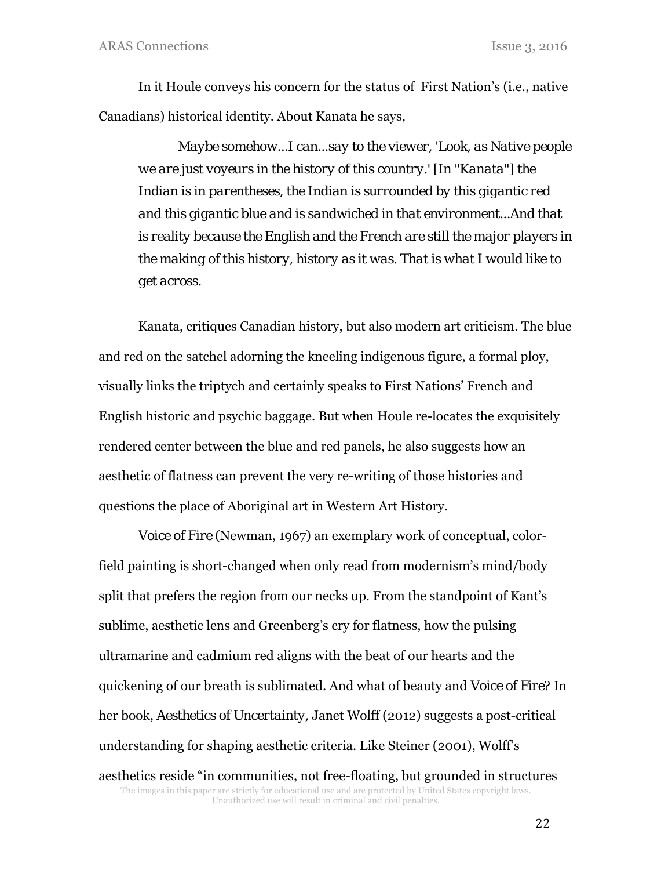In it Houle conveys his concern for the status of First Nation's (i.e., native Canadians) historical identity. About Kanata he says,

*Maybe somehow...I can...say to the viewer, 'Look, as Native people we are just voyeurs in the history of this country.' [In "Kanata"] the Indian is in parentheses, the Indian is surrounded by this gigantic red and this gigantic blue and is sandwiched in that environment...And that is reality because the English and the French are still the major players in the making of this history, history as it was. That is what I would like to get across.* 

Kanata, critiques Canadian history, but also modern art criticism. The blue and red on the satchel adorning the kneeling indigenous figure, a formal ploy, visually links the triptych and certainly speaks to First Nations' French and English historic and psychic baggage. But when Houle re-locates the exquisitely rendered center between the blue and red panels, he also suggests how an aesthetic of flatness can prevent the very re-writing of those histories and questions the place of Aboriginal art in Western Art History.

The images in this paper are strictly for educational use and are protected by United States copyright laws. Unauthorized use will result in criminal and civil penalties. *Voice of Fire* (Newman, 1967) an exemplary work of conceptual, colorfield painting is short-changed when only read from modernism's mind/body split that prefers the region from our necks up. From the standpoint of Kant's sublime, aesthetic lens and Greenberg's cry for flatness, how the pulsing ultramarine and cadmium red aligns with the beat of our hearts and the quickening of our breath is sublimated. And what of beauty and *Voice of Fire*? In her book, *Aesthetics of Uncertainty,* Janet Wolff (2012) suggests a post-critical understanding for shaping aesthetic criteria. Like Steiner (2001), Wolff's aesthetics reside "in communities, not free-floating, but grounded in structures

22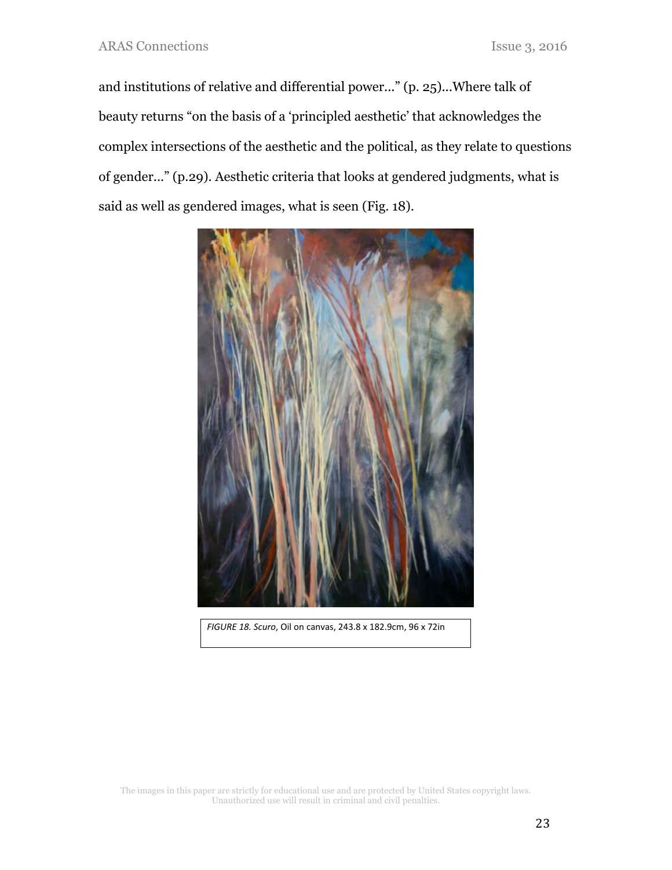and institutions of relative and differential power..." (p. 25)...Where talk of beauty returns "on the basis of a 'principled aesthetic' that acknowledges the complex intersections of the aesthetic and the political, as they relate to questions of gender..." (p.29). Aesthetic criteria that looks at gendered judgments, what is said as well as gendered images, what is seen (Fig. 18).



*FIGURE 18. Scuro*, Oil on canvas, 243.8 x 182.9cm, 96 x 72in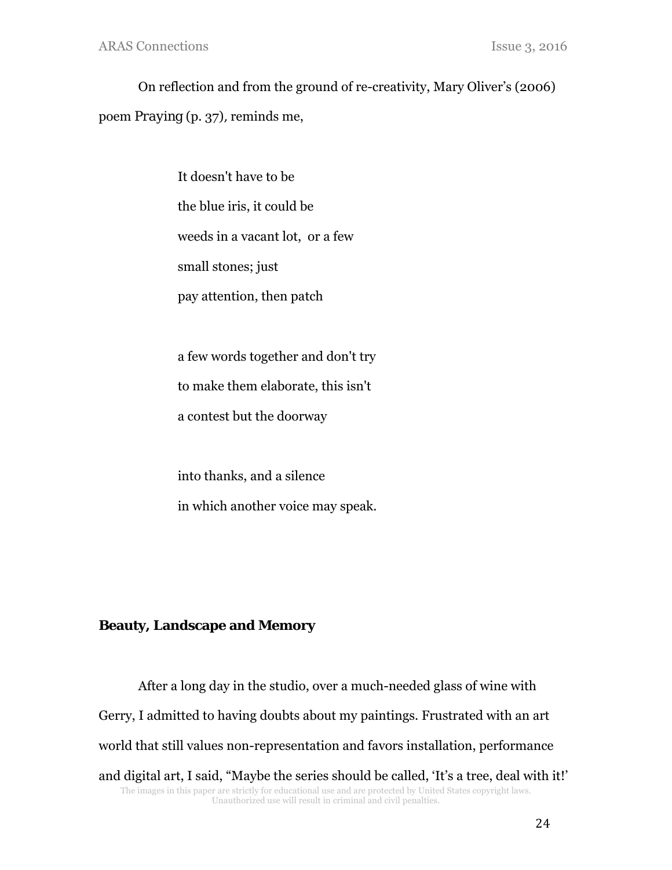On reflection and from the ground of re-creativity, Mary Oliver's (2006) poem *Praying* (p. 37)*,* reminds me,

> It doesn't have to be the blue iris, it could be weeds in a vacant lot, or a few small stones; just pay attention, then patch

a few words together and don't try

to make them elaborate, this isn't

a contest but the doorway

into thanks, and a silence in which another voice may speak.

# **Beauty, Landscape and Memory**

The images in this paper are strictly for educational use and are protected by United States copyright laws. Unauthorized use will result in criminal and civil penalties. After a long day in the studio, over a much-needed glass of wine with Gerry, I admitted to having doubts about my paintings. Frustrated with an art world that still values non-representation and favors installation, performance and digital art, I said, "Maybe the series should be called, 'It's a tree, deal with it!'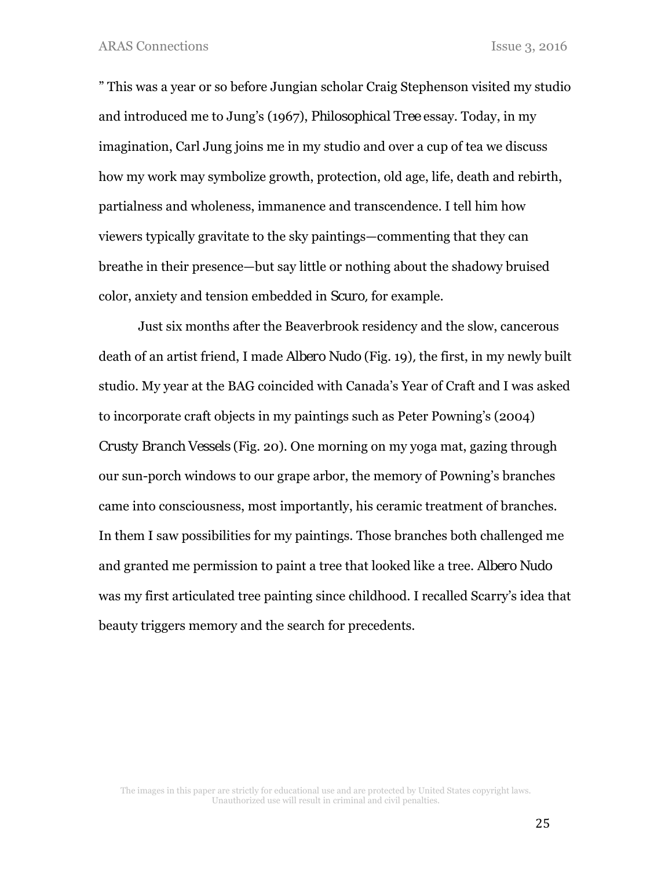ARAS Connections Issue 3, 2016

" This was a year or so before Jungian scholar Craig Stephenson visited my studio and introduced me to Jung's (1967), *Philosophical Tree* essay. Today, in my imagination, Carl Jung joins me in my studio and over a cup of tea we discuss how my work may symbolize growth, protection, old age, life, death and rebirth, partialness and wholeness, immanence and transcendence. I tell him how viewers typically gravitate to the sky paintings—commenting that they can breathe in their presence—but say little or nothing about the shadowy bruised color, anxiety and tension embedded in *Scuro,* for example.

Just six months after the Beaverbrook residency and the slow, cancerous death of an artist friend, I made *Albero Nudo* (Fig. 19)*,* the first, in my newly built studio. My year at the BAG coincided with Canada's Year of Craft and I was asked to incorporate craft objects in my paintings such as Peter Powning's (2004) *Crusty Branch Vessels* (Fig. 20). One morning on my yoga mat, gazing through our sun-porch windows to our grape arbor, the memory of Powning's branches came into consciousness, most importantly, his ceramic treatment of branches. In them I saw possibilities for my paintings. Those branches both challenged me and granted me permission to paint a tree that looked like a tree. *Albero Nudo*  was my first articulated tree painting since childhood. I recalled Scarry's idea that beauty triggers memory and the search for precedents.

The images in this paper are strictly for educational use and are protected by United States copyright laws. Unauthorized use will result in criminal and civil penalties.

25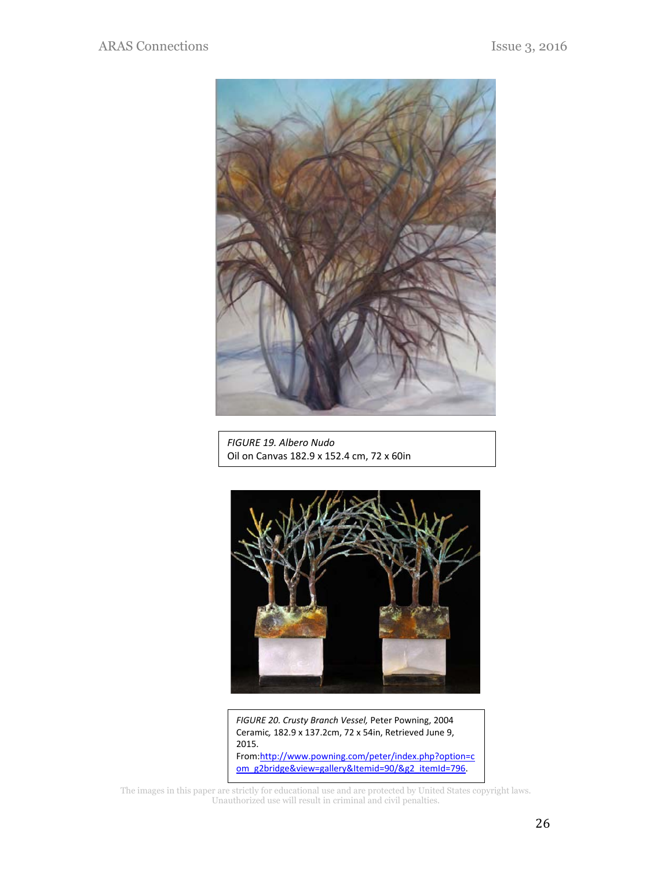

*FIGURE 19. Albero Nudo*  Oil on Canvas 182.9 x 152.4 cm, 72 x 60in



*FIGURE 20. Crusty Branch Vessel,* Peter Powning, 2004 Ceramic*,* 182.9 x 137.2cm, 72 x 54in, Retrieved June 9, 2015. From:http://www.powning.com/peter/index.php?option=c om\_g2bridge&view=gallery&Itemid=90/&g2\_itemId=796.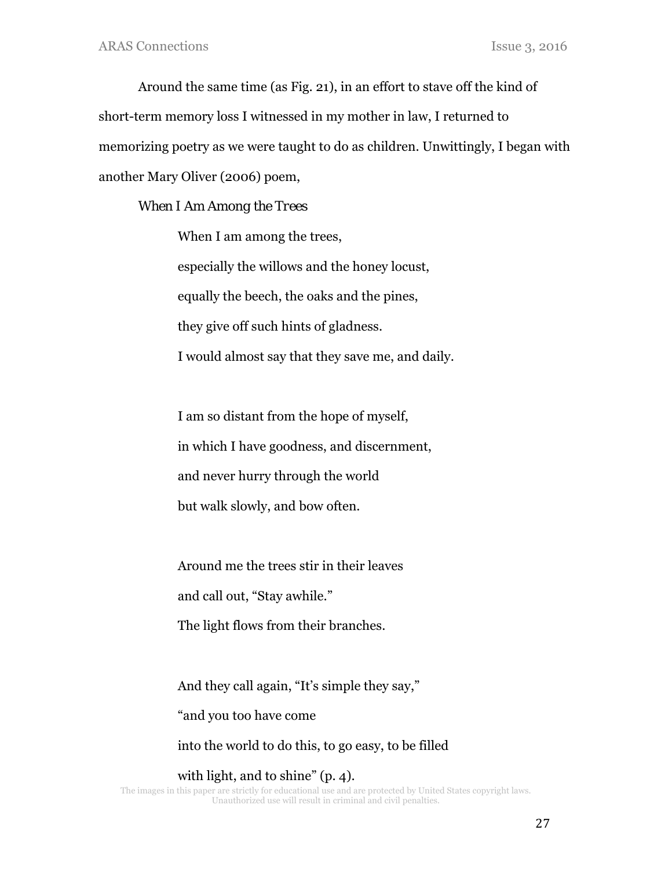Around the same time (as Fig. 21), in an effort to stave off the kind of short-term memory loss I witnessed in my mother in law, I returned to memorizing poetry as we were taught to do as children. Unwittingly, I began with another Mary Oliver (2006) poem,

### *When I Am Among the Trees*

When I am among the trees, especially the willows and the honey locust, equally the beech, the oaks and the pines, they give off such hints of gladness. I would almost say that they save me, and daily.

I am so distant from the hope of myself, in which I have goodness, and discernment, and never hurry through the world but walk slowly, and bow often.

Around me the trees stir in their leaves

and call out, "Stay awhile."

The light flows from their branches.

And they call again, "It's simple they say,"

"and you too have come

into the world to do this, to go easy, to be filled

The images in this paper are strictly for educational use and are protected by United States copyright laws. with light, and to shine" (p. 4).

Unauthorized use will result in criminal and civil penalties.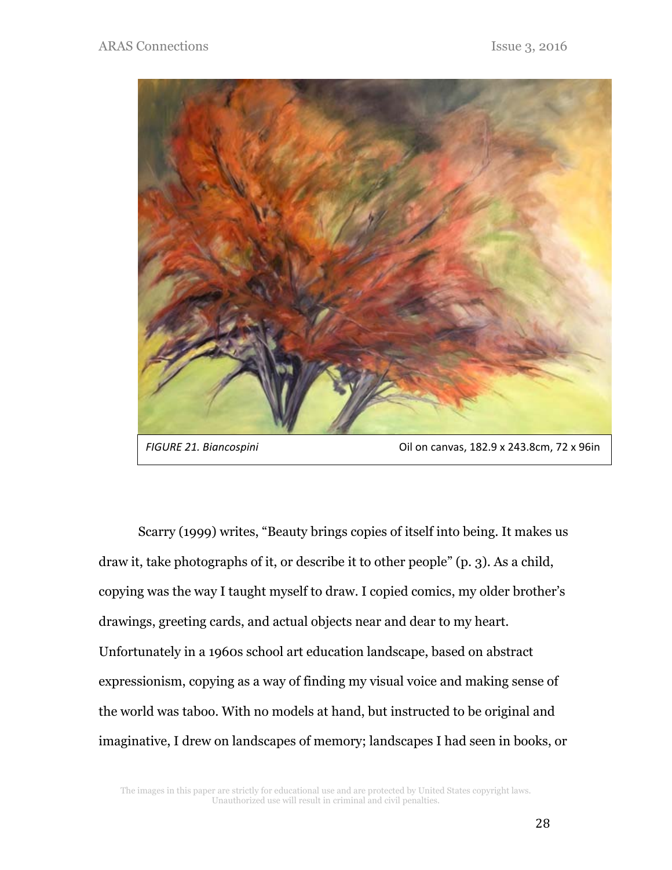

Scarry (1999) writes, "Beauty brings copies of itself into being. It makes us draw it, take photographs of it, or describe it to other people" (p. 3). As a child, copying was the way I taught myself to draw. I copied comics, my older brother's drawings, greeting cards, and actual objects near and dear to my heart. Unfortunately in a 1960s school art education landscape, based on abstract expressionism, copying as a way of finding my visual voice and making sense of the world was taboo. With no models at hand, but instructed to be original and imaginative, I drew on landscapes of memory; landscapes I had seen in books, or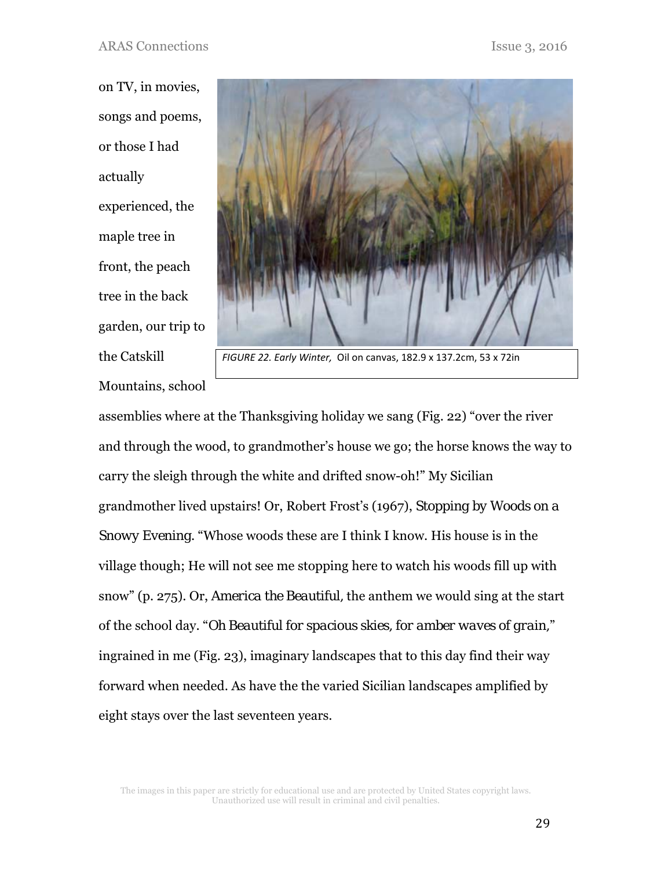on TV, in movies, songs and poems, or those I had actually experienced, the maple tree in front, the peach tree in the back garden, our trip to the Catskill Mountains, school



*FIGURE 22. Early Winter,* Oil on canvas, 182.9 x 137.2cm, 53 x 72in

assemblies where at the Thanksgiving holiday we sang (Fig. 22) "over the river and through the wood, to grandmother's house we go; the horse knows the way to carry the sleigh through the white and drifted snow-oh!" My Sicilian grandmother lived upstairs! Or, Robert Frost's (1967), *Stopping by Woods on a Snowy Evening*. "Whose woods these are I think I know. His house is in the village though; He will not see me stopping here to watch his woods fill up with snow" (p. 275). Or, *America the Beautiful,* the anthem we would sing at the start of the school day. "*Oh Beautiful for spacious skies, for amber waves of grain,*" ingrained in me (Fig. 23), imaginary landscapes that to this day find their way forward when needed. As have the the varied Sicilian landscapes amplified by eight stays over the last seventeen years.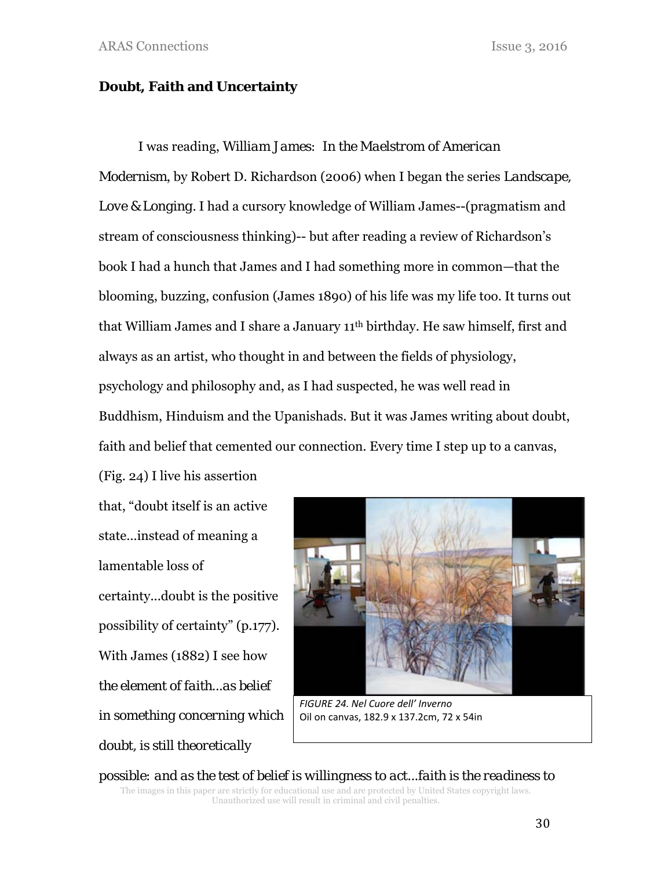### **Doubt, Faith and Uncertainty**

I was reading, *William James: In the Maelstrom of American Modernism*, by Robert D. Richardson (2006) when I began the series *Landscape, Love & Longing.* I had a cursory knowledge of William James--(pragmatism and stream of consciousness thinking)-- but after reading a review of Richardson's book I had a hunch that James and I had something more in common—that the blooming, buzzing, confusion (James 1890) of his life was my life too. It turns out that William James and I share a January 11th birthday. He saw himself, first and always as an artist, who thought in and between the fields of physiology, psychology and philosophy and, as I had suspected, he was well read in Buddhism, Hinduism and the Upanishads. But it was James writing about doubt, faith and belief that cemented our connection. Every time I step up to a canvas,

(Fig. 24) I live his assertion that, "doubt itself is an active state…instead of meaning a lamentable loss of certainty...doubt is the positive possibility of certainty" (p.177). With James (1882) I see how *the element of faith...as belief in something concerning which doubt, is still theoretically* 



*FIGURE 24. Nel Cuore dell' Inverno*  Oil on canvas, 182.9 x 137.2cm, 72 x 54in

The images in this paper are strictly for educational use and are protected by United States copyright laws. Unauthorized use will result in criminal and civil penalties. *possible: and as the test of belief is willingness to act...faith is the readiness to*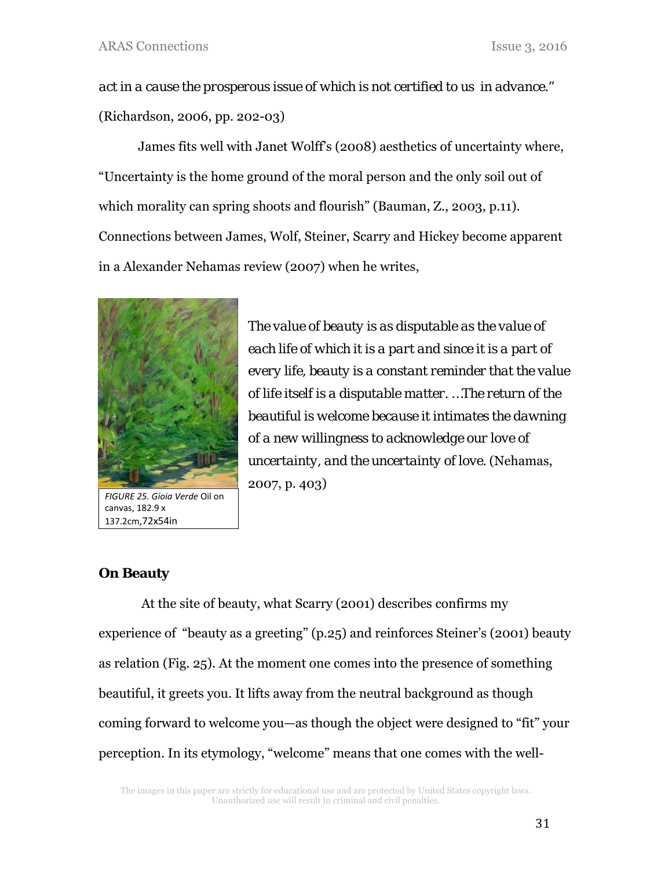*act in a cause the prosperous issue of which is not certified to us in advance."*  (Richardson, 2006, pp. 202-03)

James fits well with Janet Wolff's (2008) aesthetics of uncertainty where, "Uncertainty is the home ground of the moral person and the only soil out of which morality can spring shoots and flourish" (Bauman, Z., 2003, p.11). Connections between James, Wolf, Steiner, Scarry and Hickey become apparent in a Alexander Nehamas review (2007) when he writes,



*FIGURE 25. Gioia Verde* Oil on canvas, 182.9 x 137.2cm,72x54in

*The value of beauty is as disputable as the value of each life of which it is a part and since it is a part of every life, beauty is a constant reminder that the value of life itself is a disputable matter. …The return of the beautiful is welcome because it intimates the dawning of a new willingness to acknowledge our love of uncertainty, and the uncertainty of love.* (Nehamas, 2007, p. 403)

## **On Beauty**

 At the site of beauty, what Scarry (2001) describes confirms my experience of "beauty as a greeting" (p.25) and reinforces Steiner's (2001) beauty as relation (Fig. 25). At the moment one comes into the presence of something beautiful, it greets you. It lifts away from the neutral background as though coming forward to welcome you—as though the object were designed to "fit" your perception. In its etymology, "welcome" means that one comes with the well-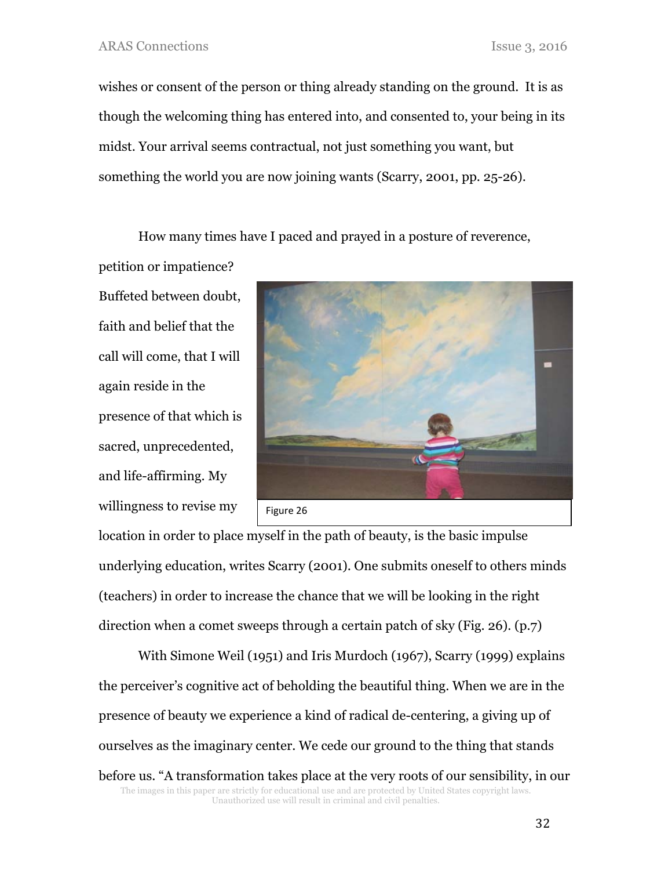wishes or consent of the person or thing already standing on the ground. It is as though the welcoming thing has entered into, and consented to, your being in its midst. Your arrival seems contractual, not just something you want, but something the world you are now joining wants (Scarry, 2001, pp. 25-26).

How many times have I paced and prayed in a posture of reverence,

petition or impatience? Buffeted between doubt, faith and belief that the call will come, that I will again reside in the presence of that which is sacred, unprecedented, and life-affirming. My willingness to revise my



location in order to place myself in the path of beauty, is the basic impulse underlying education, writes Scarry (2001). One submits oneself to others minds (teachers) in order to increase the chance that we will be looking in the right direction when a comet sweeps through a certain patch of sky (Fig. 26). (p.7)

The images in this paper are strictly for educational use and are protected by United States copyright laws. Unauthorized use will result in criminal and civil penalties. With Simone Weil (1951) and Iris Murdoch (1967), Scarry (1999) explains the perceiver's cognitive act of beholding the beautiful thing. When we are in the presence of beauty we experience a kind of radical de-centering, a giving up of ourselves as the imaginary center. We cede our ground to the thing that stands before us. "A transformation takes place at the very roots of our sensibility, in our

32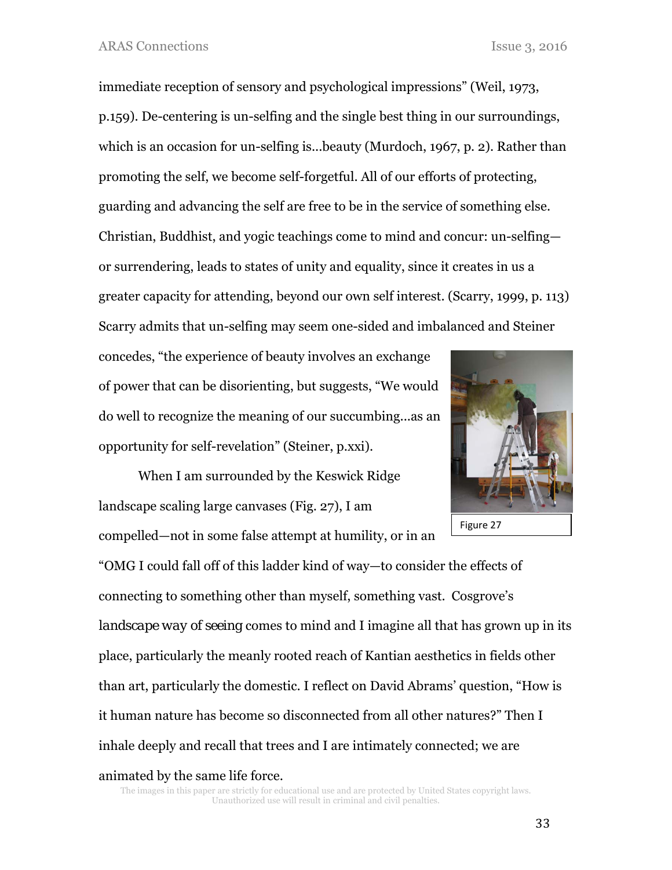immediate reception of sensory and psychological impressions" (Weil, 1973, p.159). De-centering is un-selfing and the single best thing in our surroundings, which is an occasion for un-selfing is...beauty (Murdoch, 1967, p. 2). Rather than promoting the self, we become self-forgetful. All of our efforts of protecting, guarding and advancing the self are free to be in the service of something else. Christian, Buddhist, and yogic teachings come to mind and concur: un-selfing or surrendering, leads to states of unity and equality, since it creates in us a greater capacity for attending, beyond our own self interest. (Scarry, 1999, p. 113) Scarry admits that un-selfing may seem one-sided and imbalanced and Steiner

concedes, "the experience of beauty involves an exchange of power that can be disorienting, but suggests, "We would do well to recognize the meaning of our succumbing...as an opportunity for self-revelation" (Steiner, p.xxi).

When I am surrounded by the Keswick Ridge landscape scaling large canvases (Fig. 27), I am compelled—not in some false attempt at humility, or in an



"OMG I could fall off of this ladder kind of way—to consider the effects of connecting to something other than myself, something vast. Cosgrove's *landscape way of seeing* comes to mind and I imagine all that has grown up in its place, particularly the meanly rooted reach of Kantian aesthetics in fields other than art, particularly the domestic. I reflect on David Abrams' question, "How is it human nature has become so disconnected from all other natures?" Then I inhale deeply and recall that trees and I are intimately connected; we are animated by the same life force.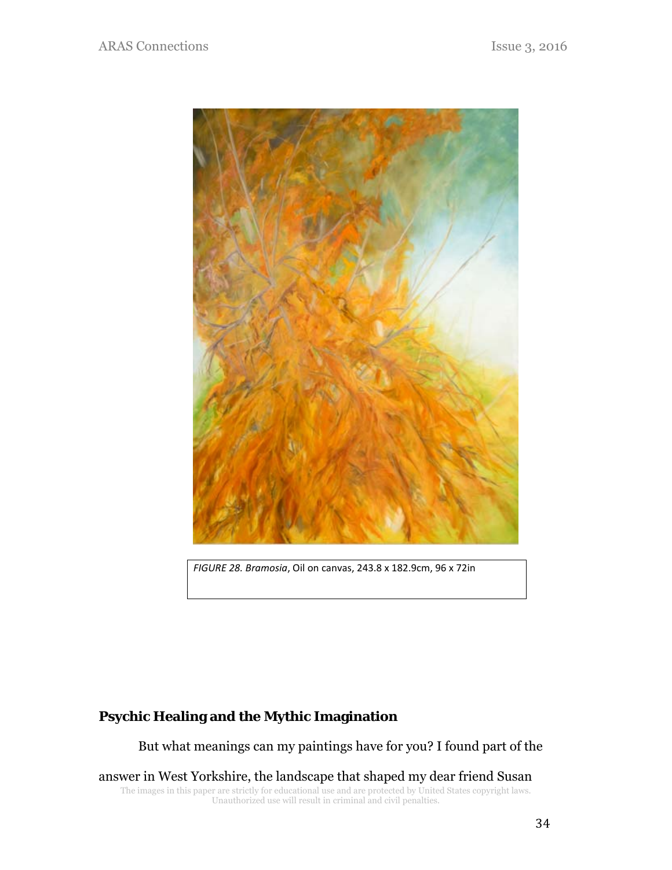

*FIGURE 28. Bramosia*, Oil on canvas, 243.8 x 182.9cm, 96 x 72in

# **Psychic Healing and the Mythic Imagination**

But what meanings can my paintings have for you? I found part of the

The images in this paper are strictly for educational use and are protected by United States copyright laws. Unauthorized use will result in criminal and civil penalties. answer in West Yorkshire, the landscape that shaped my dear friend Susan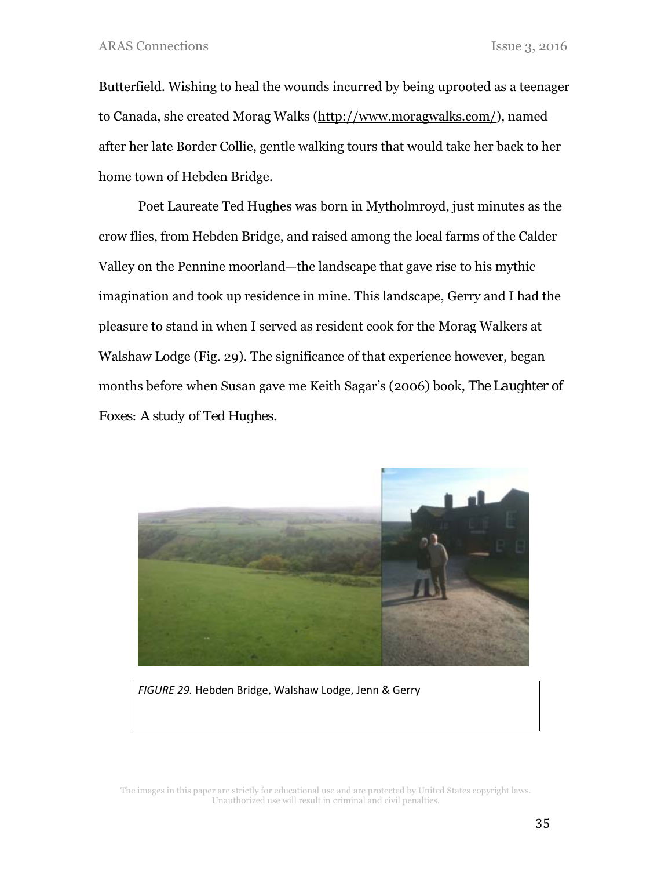Butterfield. Wishing to heal the wounds incurred by being uprooted as a teenager to Canada, she created Morag Walks (http://www.moragwalks.com/), named after her late Border Collie, gentle walking tours that would take her back to her home town of Hebden Bridge.

Poet Laureate Ted Hughes was born in Mytholmroyd, just minutes as the crow flies, from Hebden Bridge, and raised among the local farms of the Calder Valley on the Pennine moorland—the landscape that gave rise to his mythic imagination and took up residence in mine. This landscape, Gerry and I had the pleasure to stand in when I served as resident cook for the Morag Walkers at Walshaw Lodge (Fig. 29). The significance of that experience however, began months before when Susan gave me Keith Sagar's (2006) book, *The Laughter of Foxes: A study of Ted Hughes.* 



*FIGURE 29.* Hebden Bridge, Walshaw Lodge, Jenn & Gerry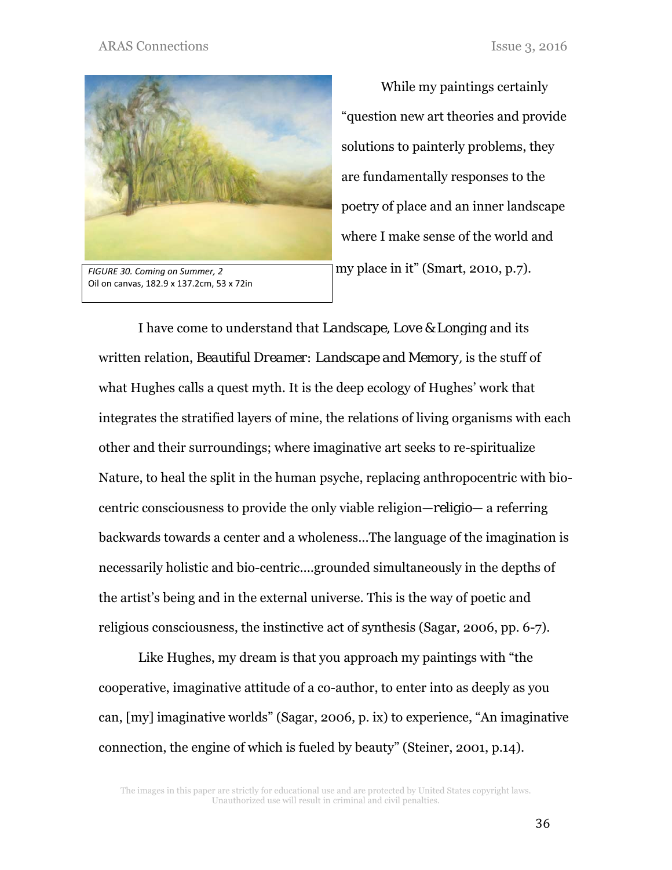#### ARAS Connections Issue 3, 2016



*FIGURE 30. Coming on Summer, 2*  Oil on canvas, 182.9 x 137.2cm, 53 x 72in

While my paintings certainly "question new art theories and provide solutions to painterly problems, they are fundamentally responses to the poetry of place and an inner landscape where I make sense of the world and my place in it" (Smart, 2010, p.7).

I have come to understand that *Landscape, Love & Longing* and its written relation, *Beautiful Dreamer: Landscape and Memory,* is the stuff of what Hughes calls a quest myth. It is the deep ecology of Hughes' work that integrates the stratified layers of mine, the relations of living organisms with each other and their surroundings; where imaginative art seeks to re-spiritualize Nature, to heal the split in the human psyche, replacing anthropocentric with biocentric consciousness to provide the only viable religion—*religio*— a referring backwards towards a center and a wholeness...The language of the imagination is necessarily holistic and bio-centric....grounded simultaneously in the depths of the artist's being and in the external universe. This is the way of poetic and religious consciousness, the instinctive act of synthesis (Sagar, 2006, pp. 6-7).

Like Hughes, my dream is that you approach my paintings with "the cooperative, imaginative attitude of a co-author, to enter into as deeply as you can, [my] imaginative worlds" (Sagar, 2006, p. ix) to experience, "An imaginative connection, the engine of which is fueled by beauty" (Steiner, 2001, p.14).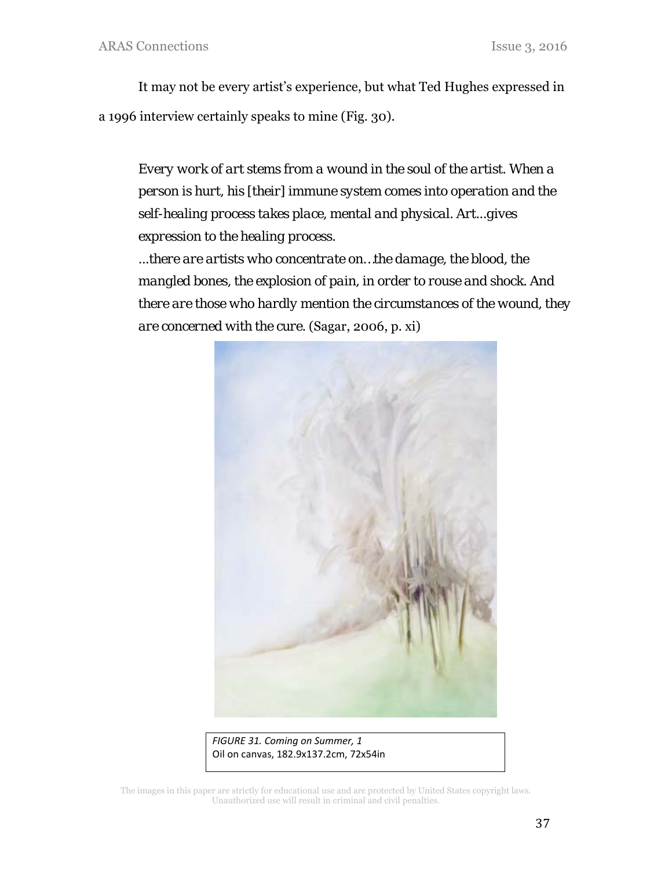It may not be every artist's experience, but what Ted Hughes expressed in a 1996 interview certainly speaks to mine (Fig. 30).

*Every work of art stems from a wound in the soul of the artist. When a person is hurt, his [their] immune system comes into operation and the self-healing process takes place, mental and physical. Art...gives expression to the healing process.* 

*...there are artists who concentrate on…the damage, the blood, the mangled bones, the explosion of pain, in order to rouse and shock. And there are those who hardly mention the circumstances of the wound, they are concerned with the cure.* (Sagar, 2006, p. xi)



*FIGURE 31. Coming on Summer, 1*  Oil on canvas, 182.9x137.2cm, 72x54in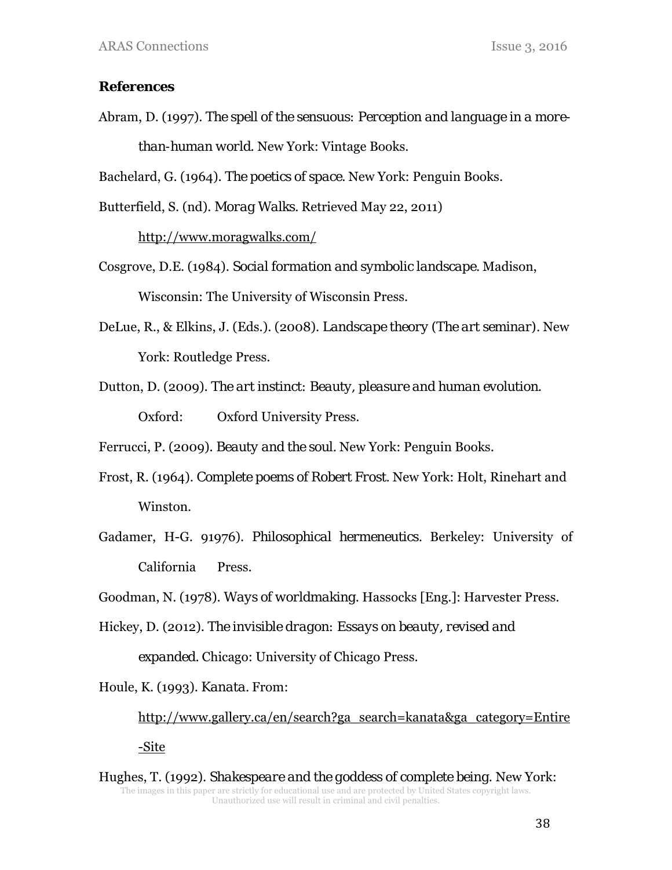### **References**

Abram, D. (1997). *The spell of the sensuous: Perception and language in a morethan-human world*. New York: Vintage Books.

Bachelard, G. (1964). *The poetics of space.* New York: Penguin Books.

Butterfield, S. (nd). *Morag Walks.* Retrieved May 22, 2011)

http://www.moragwalks.com/

- Cosgrove, D.E. (1984). *Social formation and symbolic landscape.* Madison, Wisconsin: The University of Wisconsin Press.
- DeLue, R., & Elkins, J. (Eds.). (2008). *Landscape theory (The art seminar).* New York: Routledge Press.
- Dutton, D. (2009). *The art instinct: Beauty, pleasure and human evolution*. Oxford: Oxford University Press.

Ferrucci, P. (2009). *Beauty and the soul.* New York: Penguin Books.

- Frost, R. (1964). *Complete poems of Robert Frost.* New York: Holt, Rinehart and Winston.
- Gadamer, H-G. 91976). *Philosophical hermeneutics.* Berkeley: University of California Press.

Goodman, N. (1978). *Ways of worldmaking*. Hassocks [Eng.]: Harvester Press.

Hickey, D. (2012). *The invisible dragon: Essays on beauty, revised and expanded.* Chicago: University of Chicago Press.

Houle, K. (1993). *Kanata.* From:

http://www.gallery.ca/en/search?ga\_search=kanata&ga\_category=Entire

-Site

The images in this paper are strictly for educational use and are protected by United States copyright laws. Unauthorized use will result in criminal and civil penalties. Hughes, T. (1992). *Shakespeare and the goddess of complete being*. New York: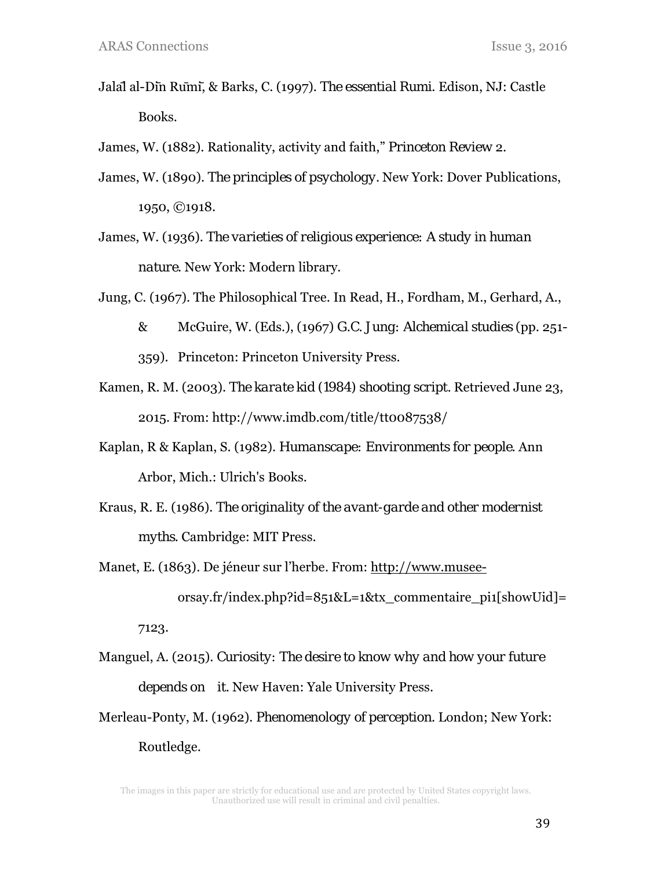- Jalāl al-Dīn Rūmī, & Barks, C. (1997). *The essential Rumi*. Edison, NJ: Castle Books.
- James, W. (1882). Rationality, activity and faith," *Princeton Review* 2.
- James, W. (1890). *The principles of psychology.* New York: Dover Publications, 1950, ©1918.
- James, W. (1936). *The varieties of religious experience: A study in human nature*. New York: Modern library.
- Jung, C. (1967). The Philosophical Tree. In Read, H., Fordham, M., Gerhard, A.,
	- & McGuire, W. (Eds.), (1967) *G.C. Jung: Alchemical studies* (pp. 251- 359). Princeton: Princeton University Press.
- Kamen, R. M. (2003). *The karate kid (1984) shooting script.* Retrieved June 23, 2015. From: http://www.imdb.com/title/tt0087538/
- Kaplan, R & Kaplan, S. (1982). *Humanscape: Environments for people*. Ann Arbor, Mich.: Ulrich's Books.
- Kraus, R. E. (1986). *The originality of the avant-garde and other modernist myths*. Cambridge: MIT Press.
- Manet, E. (1863)*.* De jéneur sur l'herbe*.* From: http://www.musee orsay.fr/index.php?id=851&L=1&tx\_commentaire\_pi1[showUid]= 7123.
- Manguel, A. (2015). *Curiosity: The desire to know why and how your future depends on it.* New Haven: Yale University Press.
- Merleau-Ponty, M. (1962). *Phenomenology of perception*. London; New York: Routledge.

The images in this paper are strictly for educational use and are protected by United States copyright laws. Unauthorized use will result in criminal and civil penalties.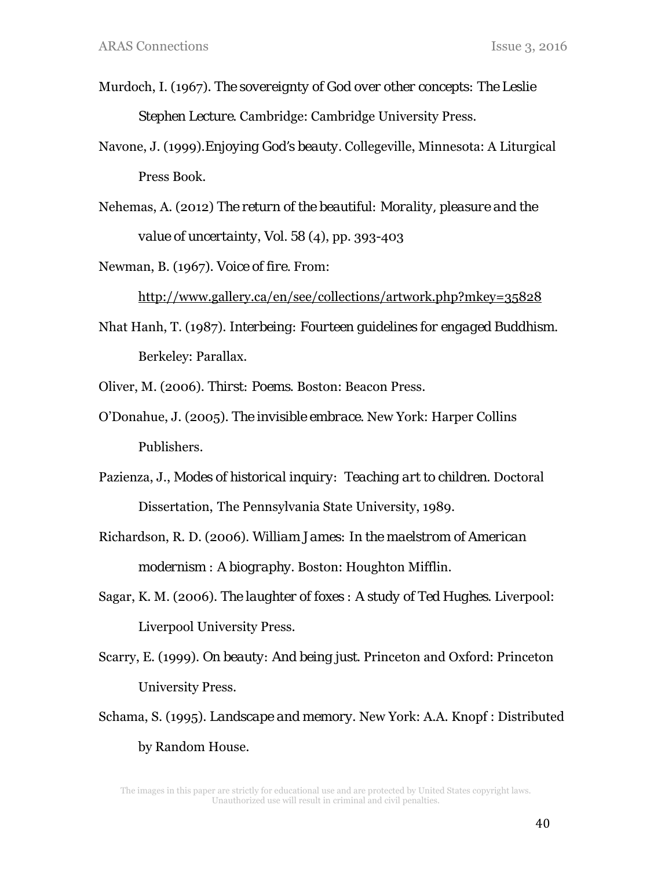- Murdoch, I. (1967). *The sovereignty of God over other concepts: The Leslie Stephen Lecture*. Cambridge: Cambridge University Press.
- Navone, J. (1999).*Enjoying God's beauty.* Collegeville, Minnesota: A Liturgical Press Book.
- Nehemas, A. (2012) *The return of the beautiful: Morality, pleasure and the value of uncertainty*, *Vol. 58* (4), pp. 393-403

Newman, B. (1967). *Voice of fire.* From:

http://www.gallery.ca/en/see/collections/artwork.php?mkey=35828

Nhat Hanh, T. (1987). *Interbeing: Fourteen guidelines for engaged Buddhism.* Berkeley: Parallax.

Oliver, M. (2006). *Thirst: Poems*. Boston: Beacon Press.

- O'Donahue, J. (2005). *The invisible embrace.* New York: Harper Collins Publishers.
- Pazienza, J., *Modes of historical inquiry: Teaching art to children*. Doctoral Dissertation, The Pennsylvania State University, 1989.
- Richardson, R. D. (2006). *William James: In the maelstrom of American modernism : A biography*. Boston: Houghton Mifflin.
- Sagar, K. M. (2006). *The laughter of foxes : A study of Ted Hughes*. Liverpool: Liverpool University Press.
- Scarry, E. (1999). *On beauty: And being just*. Princeton and Oxford: Princeton University Press.
- Schama, S. (1995). *Landscape and memory*. New York: A.A. Knopf : Distributed by Random House.

The images in this paper are strictly for educational use and are protected by United States copyright laws. Unauthorized use will result in criminal and civil penalties.